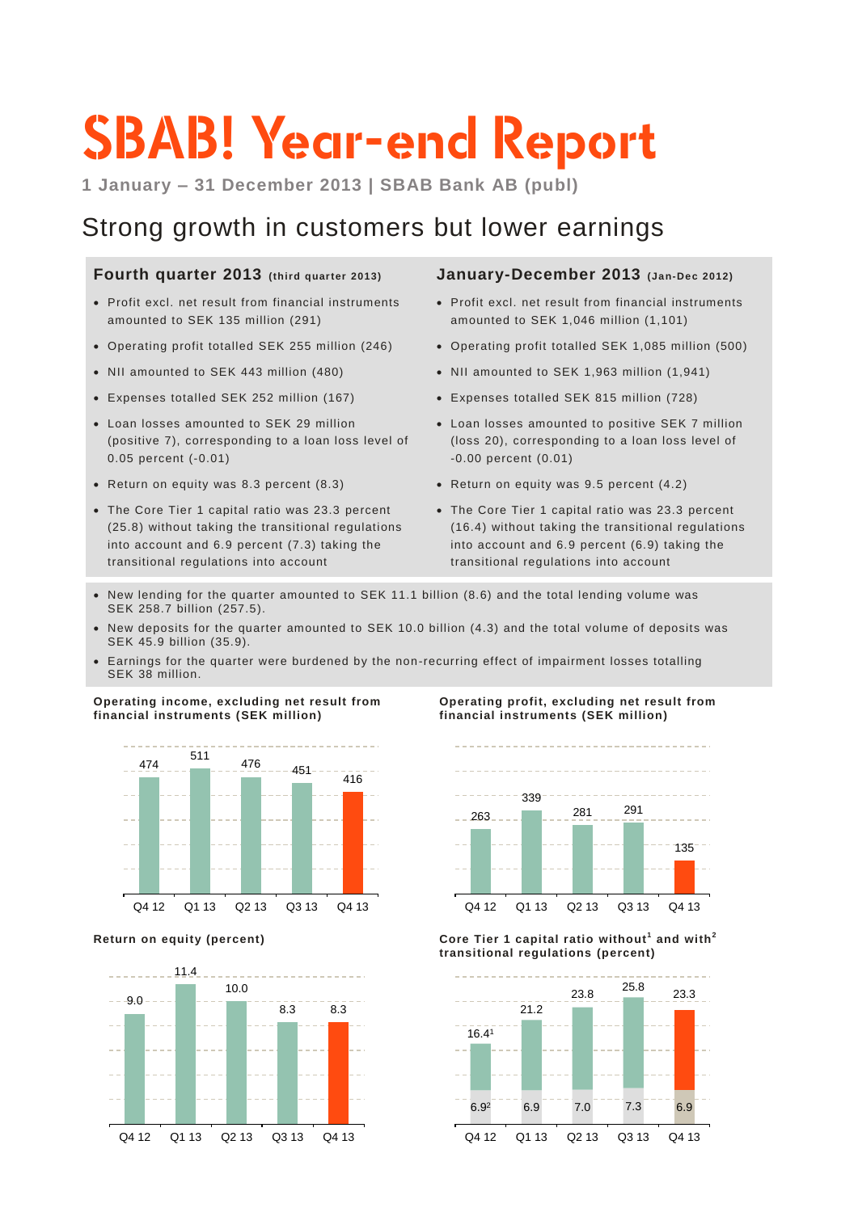# **SBAB! Year-end Report**

**1 January – 31 December 2013 | SBAB Bank AB (publ)**

### Strong growth in customers but lower earnings

### **Fourth quarter 2013 (third quarter 2013)**

- Profit excl. net result from financial instruments amounted to SEK 135 million (291)
- Operating profit totalled SEK 255 million (246)
- NII amounted to SEK 443 million (480)
- Expenses totalled SEK 252 million (167)
- Loan losses amounted to SEK 29 million (positive 7), corresponding to a loan loss level of 0.05 percent (-0.01)
- Return on equity was 8.3 percent (8.3)
- The Core Tier 1 capital ratio was 23.3 percent (25.8) without taking the transitional regulations into account and 6.9 percent (7.3) taking the transitional regulations into account

### **January-December 2013 (Jan-Dec 2012)**

- Profit excl. net result from financial instruments amounted to SEK 1,046 million (1,101)
- Operating profit totalled SEK 1,085 million (500)
- NII amounted to SEK 1,963 million (1,941)
- Expenses totalled SEK 815 million (728)
- Loan losses amounted to positive SEK 7 million (loss 20), corresponding to a loan loss level of -0.00 percent (0.01)
- Return on equity was 9.5 percent (4.2)
- The Core Tier 1 capital ratio was 23.3 percent (16.4) without taking the transitional regulations into account and 6.9 percent (6.9) taking the transitional regulations into account
- New lending for the quarter amounted to SEK 11.1 billion (8.6) and the total lending volume was SEK 258.7 billion (257.5).
- New deposits for the quarter amounted to SEK 10.0 billion (4.3) and the total volume of deposits was SEK 45.9 billion (35.9).
- Earnings for the quarter were burdened by the non-recurring effect of impairment losses totalling SEK 38 million.

**Operating income, excluding net result from financial instruments (SEK million)**





**Operating profit, excluding net result from financial instruments (SEK million)**



**Return on equity (percent) Core Tier 1 capital ratio without <sup>1</sup> and with<sup>2</sup> transitional regulations (percent)**

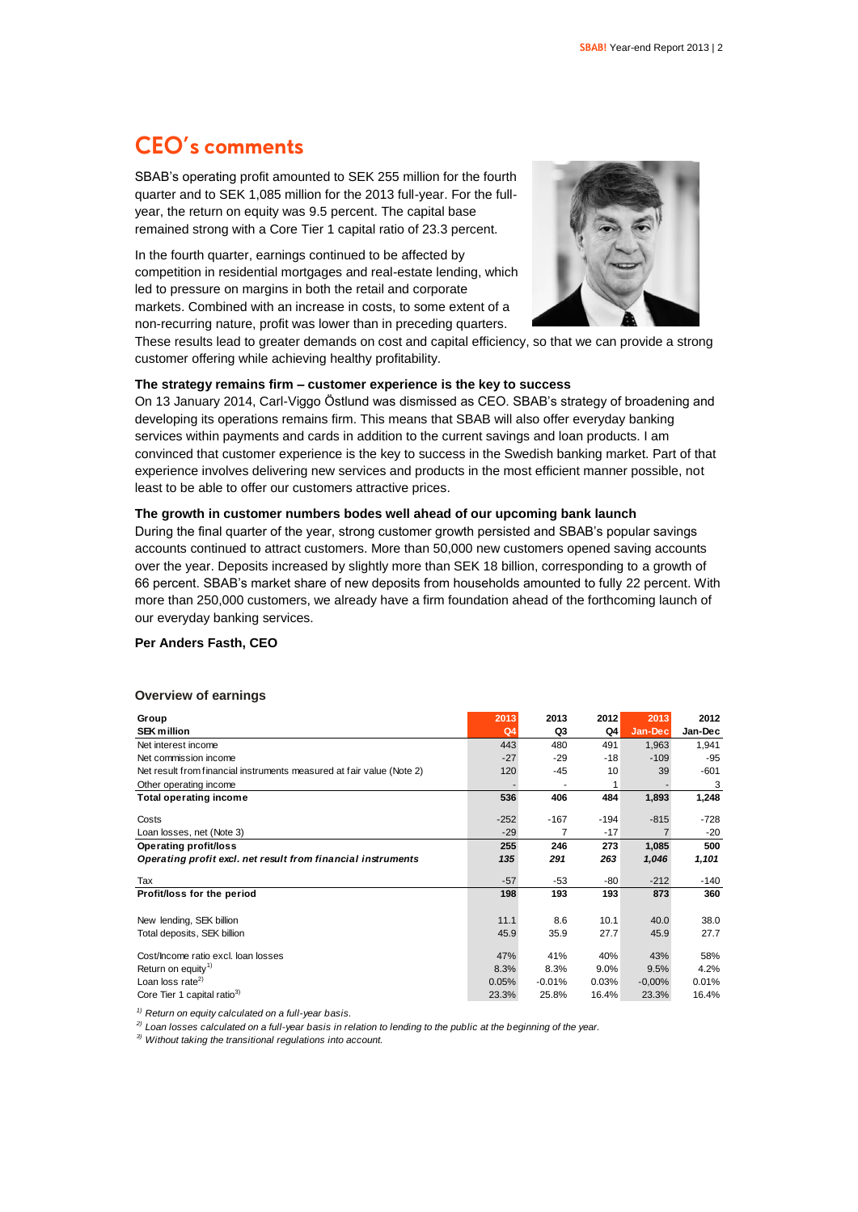### **CEO's comments**

SBAB's operating profit amounted to SEK 255 million for the fourth quarter and to SEK 1,085 million for the 2013 full-year. For the fullyear, the return on equity was 9.5 percent. The capital base remained strong with a Core Tier 1 capital ratio of 23.3 percent.

In the fourth quarter, earnings continued to be affected by competition in residential mortgages and real-estate lending, which led to pressure on margins in both the retail and corporate markets. Combined with an increase in costs, to some extent of a non-recurring nature, profit was lower than in preceding quarters.



These results lead to greater demands on cost and capital efficiency, so that we can provide a strong customer offering while achieving healthy profitability.

#### **The strategy remains firm – customer experience is the key to success**

On 13 January 2014, Carl-Viggo Östlund was dismissed as CEO. SBAB's strategy of broadening and developing its operations remains firm. This means that SBAB will also offer everyday banking services within payments and cards in addition to the current savings and loan products. I am convinced that customer experience is the key to success in the Swedish banking market. Part of that experience involves delivering new services and products in the most efficient manner possible, not least to be able to offer our customers attractive prices.

### **The growth in customer numbers bodes well ahead of our upcoming bank launch**

During the final quarter of the year, strong customer growth persisted and SBAB's popular savings accounts continued to attract customers. More than 50,000 new customers opened saving accounts over the year. Deposits increased by slightly more than SEK 18 billion, corresponding to a growth of 66 percent. SBAB's market share of new deposits from households amounted to fully 22 percent. With more than 250,000 customers, we already have a firm foundation ahead of the forthcoming launch of our everyday banking services.

#### **Per Anders Fasth, CEO**

#### **Overview of earnings**

| Group                                                                 | 2013           | 2013     | 2012   | 2013     | 2012    |
|-----------------------------------------------------------------------|----------------|----------|--------|----------|---------|
| <b>SEK million</b>                                                    | Q <sub>4</sub> | Q3       | Q4     | Jan-Dec  | Jan-Dec |
| Net interest income                                                   | 443            | 480      | 491    | 1,963    | 1,941   |
| Net commission income                                                 | $-27$          | $-29$    | $-18$  | $-109$   | -95     |
| Net result from financial instruments measured at fair value (Note 2) | 120            | -45      | 10     | 39       | $-601$  |
| Other operating income                                                |                |          |        |          | 3       |
| <b>Total operating income</b>                                         | 536            | 406      | 484    | 1,893    | 1,248   |
|                                                                       |                |          |        |          |         |
| Costs                                                                 | $-252$         | $-167$   | $-194$ | $-815$   | -728    |
| Loan losses, net (Note 3)                                             | $-29$          | 7        | $-17$  |          | $-20$   |
| Operating profit/loss                                                 | 255            | 246      | 273    | 1,085    | 500     |
| Operating profit excl. net result from financial instruments          | 135            | 291      | 263    | 1,046    | 1,101   |
| Tax                                                                   | $-57$          | $-53$    | -80    | $-212$   | -140    |
| Profit/loss for the period                                            | 198            | 193      | 193    | 873      | 360     |
|                                                                       |                |          |        |          |         |
| New lending, SEK billion                                              | 11.1           | 8.6      | 10.1   | 40.0     | 38.0    |
| Total deposits, SEK billion                                           | 45.9           | 35.9     | 27.7   | 45.9     | 27.7    |
| Cost/Income ratio excl. Ioan losses                                   | 47%            | 41%      | 40%    | 43%      | 58%     |
| Return on equity <sup>1)</sup>                                        | 8.3%           | 8.3%     | 9.0%   | 9.5%     | 4.2%    |
| Loan loss rate <sup>2)</sup>                                          | 0.05%          | $-0.01%$ | 0.03%  | $-0.00%$ | 0.01%   |
| Core Tier 1 capital ratio <sup>3)</sup>                               | 23.3%          | 25.8%    | 16.4%  | 23.3%    | 16.4%   |

*1) Return on equity calculated on a full-year basis.*

*2) Loan losses calculated on a full-year basis in relation to lending to the public at the beginning of the year.*

*3) Without taking the transitional regulations into account.*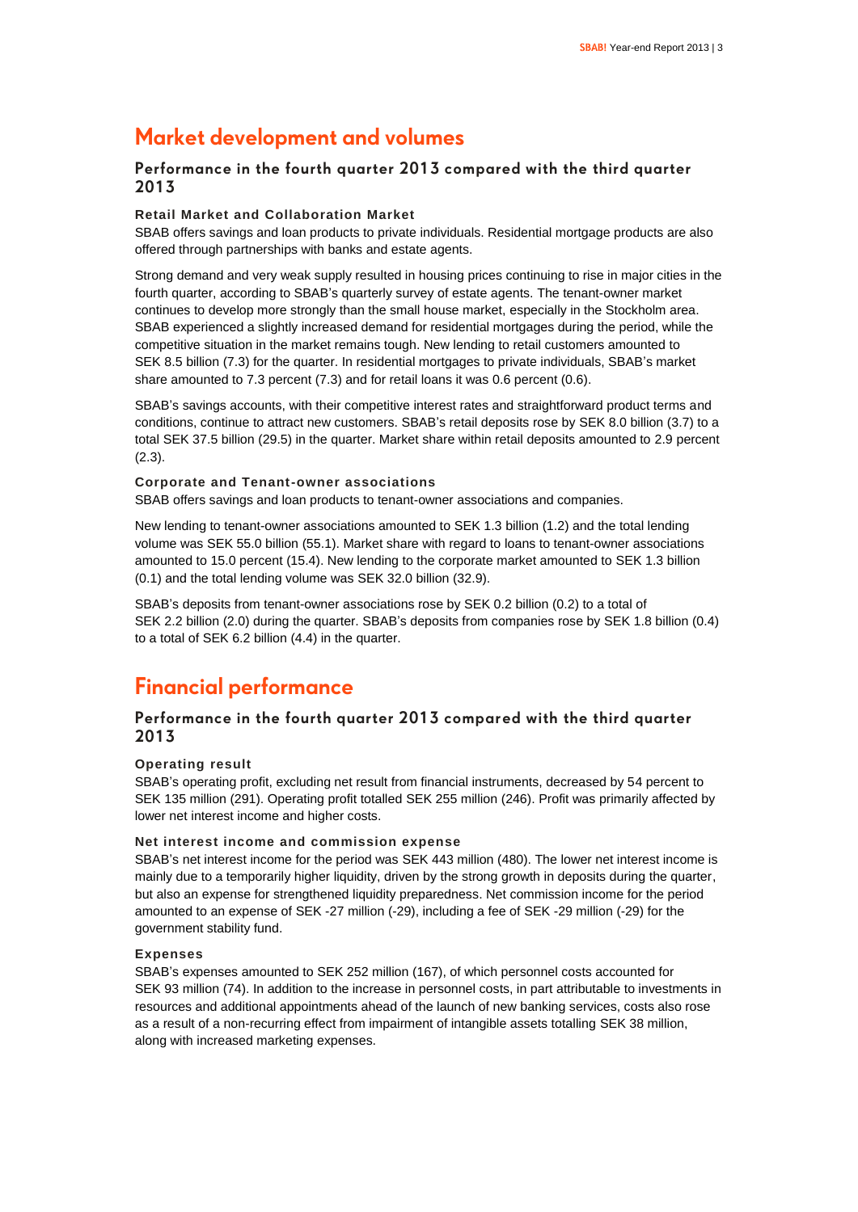### **Market development and volumes**

### **Performance in the fourth quarter 2013 compared with the third quarter 2013**

### **Retail Market and Collaboration Market**

SBAB offers savings and loan products to private individuals. Residential mortgage products are also offered through partnerships with banks and estate agents.

Strong demand and very weak supply resulted in housing prices continuing to rise in major cities in the fourth quarter, according to SBAB's quarterly survey of estate agents. The tenant-owner market continues to develop more strongly than the small house market, especially in the Stockholm area. SBAB experienced a slightly increased demand for residential mortgages during the period, while the competitive situation in the market remains tough. New lending to retail customers amounted to SEK 8.5 billion (7.3) for the quarter. In residential mortgages to private individuals, SBAB's market share amounted to 7.3 percent (7.3) and for retail loans it was 0.6 percent (0.6).

SBAB's savings accounts, with their competitive interest rates and straightforward product terms and conditions, continue to attract new customers. SBAB's retail deposits rose by SEK 8.0 billion (3.7) to a total SEK 37.5 billion (29.5) in the quarter. Market share within retail deposits amounted to 2.9 percent (2.3).

### **Corporate and Tenant-owner associations**

SBAB offers savings and loan products to tenant-owner associations and companies.

New lending to tenant-owner associations amounted to SEK 1.3 billion (1.2) and the total lending volume was SEK 55.0 billion (55.1). Market share with regard to loans to tenant-owner associations amounted to 15.0 percent (15.4). New lending to the corporate market amounted to SEK 1.3 billion (0.1) and the total lending volume was SEK 32.0 billion (32.9).

SBAB's deposits from tenant-owner associations rose by SEK 0.2 billion (0.2) to a total of SEK 2.2 billion (2.0) during the quarter. SBAB's deposits from companies rose by SEK 1.8 billion (0.4) to a total of SEK 6.2 billion (4.4) in the quarter.

### **Financial performance**

### **Performance in the fourth quarter 2013 compared with the third quarter 2013**

### **Operating result**

SBAB's operating profit, excluding net result from financial instruments, decreased by 54 percent to SEK 135 million (291). Operating profit totalled SEK 255 million (246). Profit was primarily affected by lower net interest income and higher costs.

### **Net interest income and commission expense**

SBAB's net interest income for the period was SEK 443 million (480). The lower net interest income is mainly due to a temporarily higher liquidity, driven by the strong growth in deposits during the quarter, but also an expense for strengthened liquidity preparedness. Net commission income for the period amounted to an expense of SEK -27 million (-29), including a fee of SEK -29 million (-29) for the government stability fund.

### **Expenses**

SBAB's expenses amounted to SEK 252 million (167), of which personnel costs accounted for SEK 93 million (74). In addition to the increase in personnel costs, in part attributable to investments in resources and additional appointments ahead of the launch of new banking services, costs also rose as a result of a non-recurring effect from impairment of intangible assets totalling SEK 38 million, along with increased marketing expenses.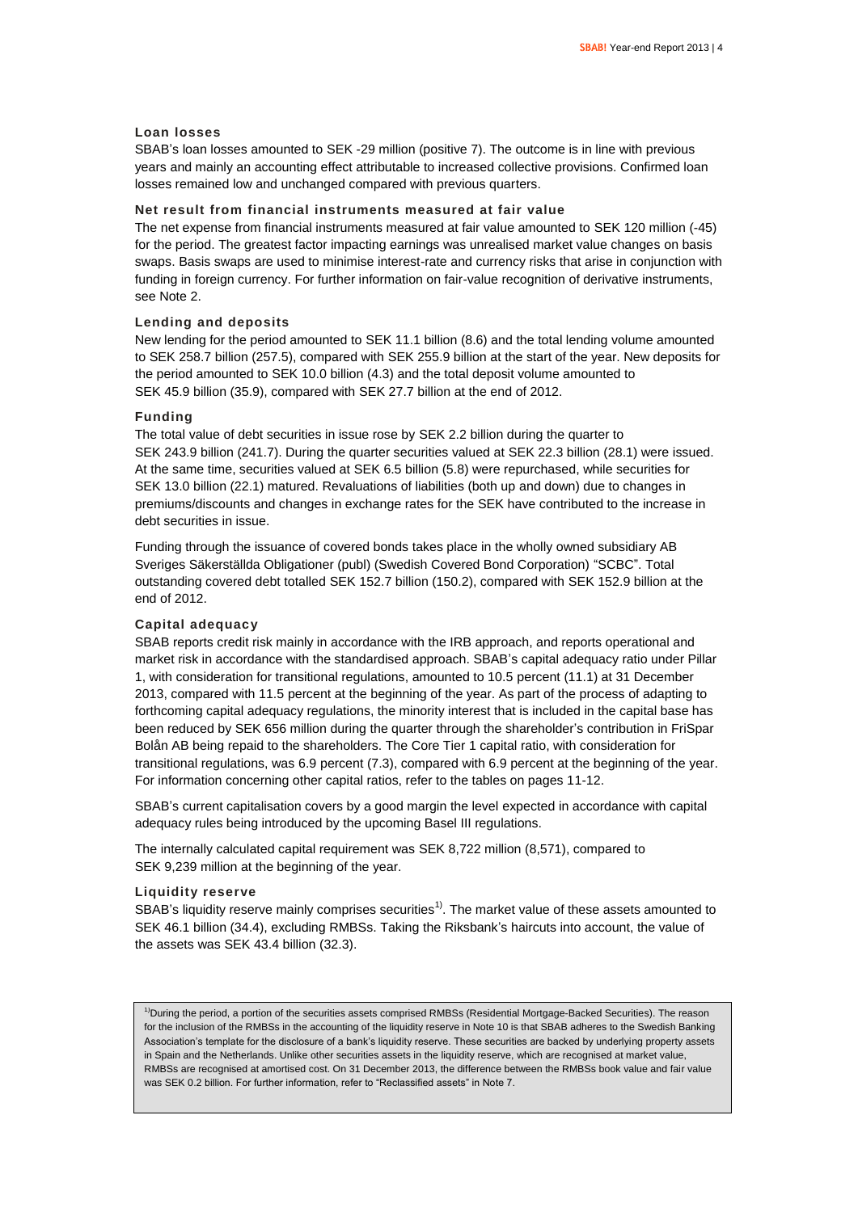### **Loan losses**

SBAB's loan losses amounted to SEK -29 million (positive 7). The outcome is in line with previous years and mainly an accounting effect attributable to increased collective provisions. Confirmed loan losses remained low and unchanged compared with previous quarters.

### **Net result from financial instruments measured at fair value**

The net expense from financial instruments measured at fair value amounted to SEK 120 million (-45) for the period. The greatest factor impacting earnings was unrealised market value changes on basis swaps. Basis swaps are used to minimise interest-rate and currency risks that arise in conjunction with funding in foreign currency. For further information on fair-value recognition of derivative instruments, see Note 2.

#### **Lending and deposits**

New lending for the period amounted to SEK 11.1 billion (8.6) and the total lending volume amounted to SEK 258.7 billion (257.5), compared with SEK 255.9 billion at the start of the year. New deposits for the period amounted to SEK 10.0 billion (4.3) and the total deposit volume amounted to SEK 45.9 billion (35.9), compared with SEK 27.7 billion at the end of 2012.

#### **Funding**

The total value of debt securities in issue rose by SEK 2.2 billion during the quarter to SEK 243.9 billion (241.7). During the quarter securities valued at SEK 22.3 billion (28.1) were issued. At the same time, securities valued at SEK 6.5 billion (5.8) were repurchased, while securities for SEK 13.0 billion (22.1) matured. Revaluations of liabilities (both up and down) due to changes in premiums/discounts and changes in exchange rates for the SEK have contributed to the increase in debt securities in issue.

Funding through the issuance of covered bonds takes place in the wholly owned subsidiary AB Sveriges Säkerställda Obligationer (publ) (Swedish Covered Bond Corporation) "SCBC". Total outstanding covered debt totalled SEK 152.7 billion (150.2), compared with SEK 152.9 billion at the end of 2012.

### **Capital adequacy**

SBAB reports credit risk mainly in accordance with the IRB approach, and reports operational and market risk in accordance with the standardised approach. SBAB's capital adequacy ratio under Pillar 1, with consideration for transitional regulations, amounted to 10.5 percent (11.1) at 31 December 2013, compared with 11.5 percent at the beginning of the year. As part of the process of adapting to forthcoming capital adequacy regulations, the minority interest that is included in the capital base has been reduced by SEK 656 million during the quarter through the shareholder's contribution in FriSpar Bolån AB being repaid to the shareholders. The Core Tier 1 capital ratio, with consideration for transitional regulations, was 6.9 percent (7.3), compared with 6.9 percent at the beginning of the year. For information concerning other capital ratios, refer to the tables on pages 11-12.

SBAB's current capitalisation covers by a good margin the level expected in accordance with capital adequacy rules being introduced by the upcoming Basel III regulations.

The internally calculated capital requirement was SEK 8,722 million (8,571), compared to SEK 9,239 million at the beginning of the year.

### **Liquidity reserve**

SBAB's liquidity reserve mainly comprises securities<sup>1)</sup>. The market value of these assets amounted to SEK 46.1 billion (34.4), excluding RMBSs. Taking the Riksbank's haircuts into account, the value of the assets was SEK 43.4 billion (32.3).

<sup>1)</sup>During the period, a portion of the securities assets comprised RMBSs (Residential Mortgage-Backed Securities). The reason for the inclusion of the RMBSs in the accounting of the liquidity reserve in Note 10 is that SBAB adheres to the Swedish Banking Association's template for the disclosure of a bank's liquidity reserve. These securities are backed by underlying property assets in Spain and the Netherlands. Unlike other securities assets in the liquidity reserve, which are recognised at market value. RMBSs are recognised at amortised cost. On 31 December 2013, the difference between the RMBSs book value and fair value was SEK 0.2 billion. For further information, refer to "Reclassified assets" in Note 7.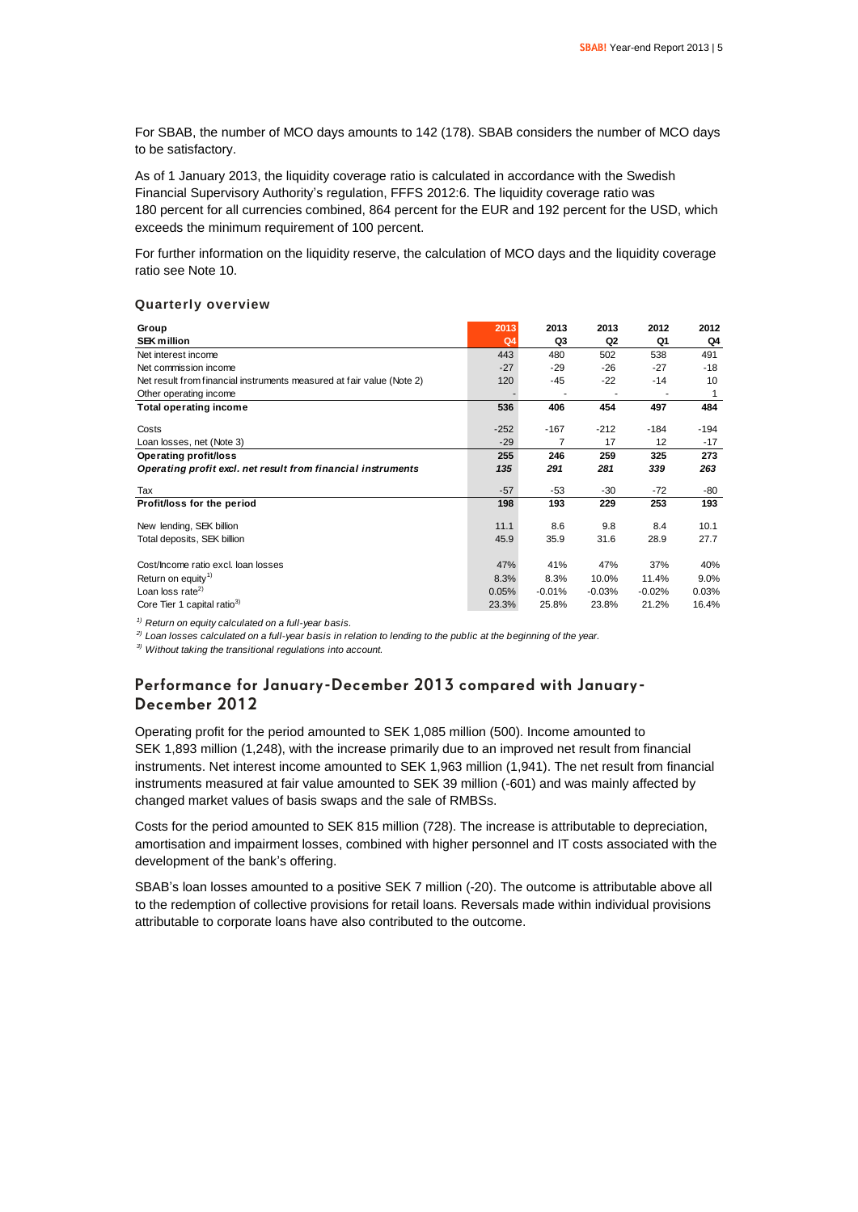For SBAB, the number of MCO days amounts to 142 (178). SBAB considers the number of MCO days to be satisfactory.

As of 1 January 2013, the liquidity coverage ratio is calculated in accordance with the Swedish Financial Supervisory Authority's regulation, FFFS 2012:6. The liquidity coverage ratio was 180 percent for all currencies combined, 864 percent for the EUR and 192 percent for the USD, which exceeds the minimum requirement of 100 percent.

For further information on the liquidity reserve, the calculation of MCO days and the liquidity coverage ratio see Note 10.

#### **Quarterly overview**

| Group                                                                 | 2013           | 2013     | 2013     | 2012     | 2012    |
|-----------------------------------------------------------------------|----------------|----------|----------|----------|---------|
| <b>SEK million</b>                                                    | Q <sub>4</sub> | Q3       | Q2       | Q1       | Q4      |
| Net interest income                                                   | 443            | 480      | 502      | 538      | 491     |
| Net commission income                                                 | $-27$          | -29      | -26      | -27      | -18     |
| Net result from financial instruments measured at fair value (Note 2) | 120            | $-45$    | $-22$    | $-14$    | 10      |
| Other operating income                                                |                |          |          |          | 1       |
| <b>Total operating income</b>                                         | 536            | 406      | 454      | 497      | 484     |
| Costs                                                                 | $-252$         | $-167$   | $-212$   | $-184$   | $-194$  |
| Loan losses, net (Note 3)                                             | $-29$          | 7        | 17       | 12       | -17     |
| Operating profit/loss                                                 | 255            | 246      | 259      | 325      | 273     |
| Operating profit excl. net result from financial instruments          | 135            | 291      | 281      | 339      | 263     |
| Tax                                                                   | $-57$          | $-53$    | -30      | $-72$    | -80     |
| Profit/loss for the period                                            | 198            | 193      | 229      | 253      | 193     |
| New lending, SEK billion                                              | 11.1           | 8.6      | 9.8      | 8.4      | 10.1    |
| Total deposits, SEK billion                                           | 45.9           | 35.9     | 31.6     | 28.9     | 27.7    |
|                                                                       |                |          |          |          |         |
| Cost/Income ratio excl. Ioan losses                                   | 47%            | 41%      | 47%      | 37%      | 40%     |
| Return on equity <sup>1)</sup>                                        | 8.3%           | 8.3%     | 10.0%    | 11.4%    | $9.0\%$ |
| Loan loss rate <sup>2)</sup>                                          | 0.05%          | $-0.01%$ | $-0.03%$ | $-0.02%$ | 0.03%   |
| Core Tier 1 capital ratio <sup>3)</sup>                               | 23.3%          | 25.8%    | 23.8%    | 21.2%    | 16.4%   |

*1) Return on equity calculated on a full-year basis.*

*2) Loan losses calculated on a full-year basis in relation to lending to the public at the beginning of the year.*

*3) Without taking the transitional regulations into account.*

### **Performance for January-December 2013 compared with January-December 2012**

Operating profit for the period amounted to SEK 1,085 million (500). Income amounted to SEK 1,893 million (1,248), with the increase primarily due to an improved net result from financial instruments. Net interest income amounted to SEK 1,963 million (1,941). The net result from financial instruments measured at fair value amounted to SEK 39 million (-601) and was mainly affected by changed market values of basis swaps and the sale of RMBSs.

Costs for the period amounted to SEK 815 million (728). The increase is attributable to depreciation, amortisation and impairment losses, combined with higher personnel and IT costs associated with the development of the bank's offering.

SBAB's loan losses amounted to a positive SEK 7 million (-20). The outcome is attributable above all to the redemption of collective provisions for retail loans. Reversals made within individual provisions attributable to corporate loans have also contributed to the outcome.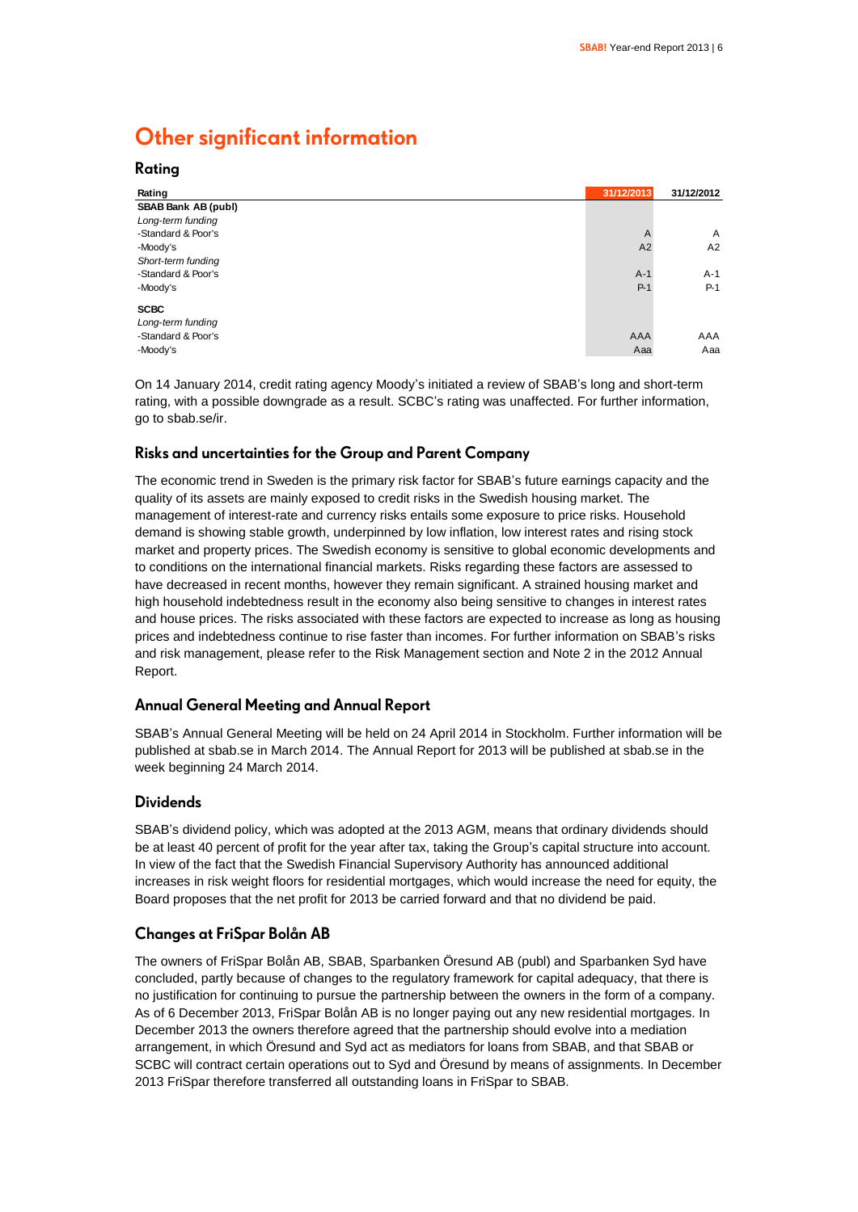### **Other significant information**

**Rating**

| Rating                           | 31/12/2013     | 31/12/2012     |
|----------------------------------|----------------|----------------|
| SBAB Bank AB (publ)              |                |                |
| Long-term funding                |                |                |
| -Standard & Poor's               | $\overline{A}$ | $\overline{A}$ |
| -Moody's                         | A2             | A2             |
| Short-term funding               |                |                |
| -Standard & Poor's               | $A-1$          | $A-1$          |
| -Moody's                         | $P-1$          | $P-1$          |
| <b>SCBC</b><br>Long-term funding |                |                |
| -Standard & Poor's               | AAA            | AAA            |
| -Moody's                         | Aaa            | Aaa            |

On 14 January 2014, credit rating agency Moody's initiated a review of SBAB's long and short-term rating, with a possible downgrade as a result. SCBC's rating was unaffected. For further information, go to sbab.se/ir.

### **Risks and uncertainties for the Group and Parent Company**

The economic trend in Sweden is the primary risk factor for SBAB's future earnings capacity and the quality of its assets are mainly exposed to credit risks in the Swedish housing market. The management of interest-rate and currency risks entails some exposure to price risks. Household demand is showing stable growth, underpinned by low inflation, low interest rates and rising stock market and property prices. The Swedish economy is sensitive to global economic developments and to conditions on the international financial markets. Risks regarding these factors are assessed to have decreased in recent months, however they remain significant. A strained housing market and high household indebtedness result in the economy also being sensitive to changes in interest rates and house prices. The risks associated with these factors are expected to increase as long as housing prices and indebtedness continue to rise faster than incomes. For further information on SBAB's risks and risk management, please refer to the Risk Management section and Note 2 in the 2012 Annual Report.

### **Annual General Meeting and Annual Report**

SBAB's Annual General Meeting will be held on 24 April 2014 in Stockholm. Further information will be published at sbab.se in March 2014. The Annual Report for 2013 will be published at sbab.se in the week beginning 24 March 2014.

### **Dividends**

SBAB's dividend policy, which was adopted at the 2013 AGM, means that ordinary dividends should be at least 40 percent of profit for the year after tax, taking the Group's capital structure into account. In view of the fact that the Swedish Financial Supervisory Authority has announced additional increases in risk weight floors for residential mortgages, which would increase the need for equity, the Board proposes that the net profit for 2013 be carried forward and that no dividend be paid.

### **Changes at FriSpar Bolån AB**

The owners of FriSpar Bolån AB, SBAB, Sparbanken Öresund AB (publ) and Sparbanken Syd have concluded, partly because of changes to the regulatory framework for capital adequacy, that there is no justification for continuing to pursue the partnership between the owners in the form of a company. As of 6 December 2013, FriSpar Bolån AB is no longer paying out any new residential mortgages. In December 2013 the owners therefore agreed that the partnership should evolve into a mediation arrangement, in which Öresund and Syd act as mediators for loans from SBAB, and that SBAB or SCBC will contract certain operations out to Syd and Öresund by means of assignments. In December 2013 FriSpar therefore transferred all outstanding loans in FriSpar to SBAB.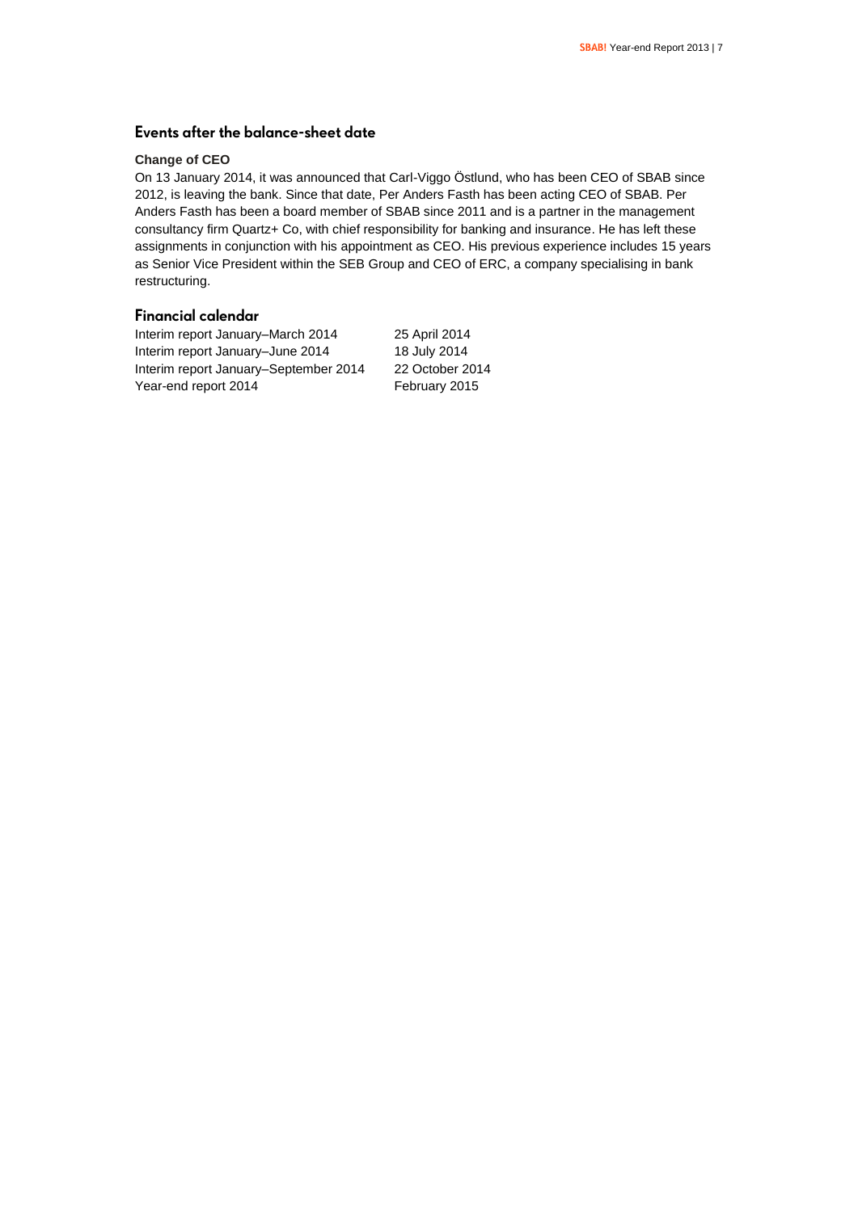### **Events after the balance-sheet date**

### **Change of CEO**

On 13 January 2014, it was announced that Carl-Viggo Östlund, who has been CEO of SBAB since 2012, is leaving the bank. Since that date, Per Anders Fasth has been acting CEO of SBAB. Per Anders Fasth has been a board member of SBAB since 2011 and is a partner in the management consultancy firm Quartz+ Co, with chief responsibility for banking and insurance. He has left these assignments in conjunction with his appointment as CEO. His previous experience includes 15 years as Senior Vice President within the SEB Group and CEO of ERC, a company specialising in bank restructuring.

### **Financial calendar**

Interim report January–March 2014 25 April 2014 Interim report January–June 2014 18 July 2014 Interim report January–September 2014 22 October 2014 Year-end report 2014 February 2015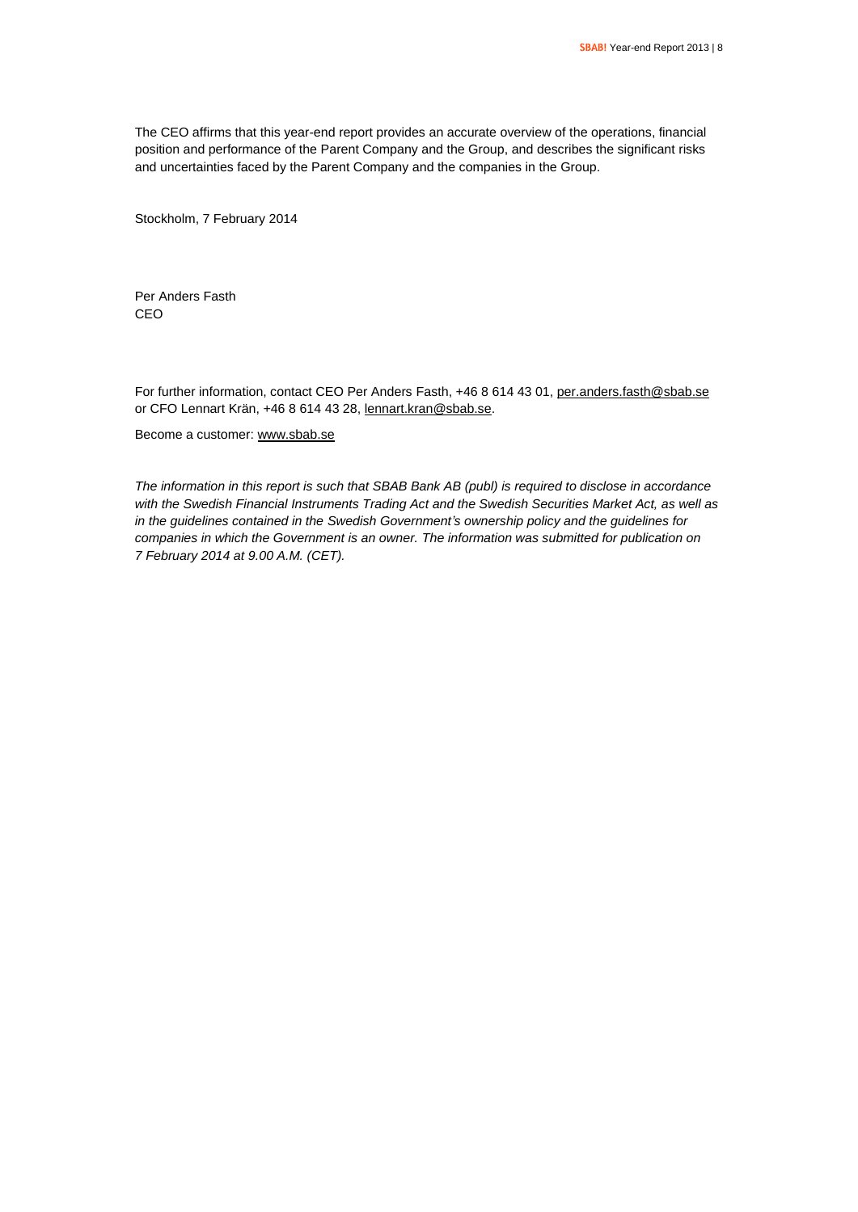The CEO affirms that this year-end report provides an accurate overview of the operations, financial position and performance of the Parent Company and the Group, and describes the significant risks and uncertainties faced by the Parent Company and the companies in the Group.

Stockholm, 7 February 2014

Per Anders Fasth CEO

For further information, contact CEO Per Anders Fasth, +46 8 614 43 01, per anders fasth@sbab.se or CFO Lennart Krän, +46 8 614 43 28, [lennart.kran@sbab.se.](mailto:lennart.kran@sbab.se)

Become a customer[: www.sbab.se](http://www.sbab.se/)

*The information in this report is such that SBAB Bank AB (publ) is required to disclose in accordance with the Swedish Financial Instruments Trading Act and the Swedish Securities Market Act, as well as in the guidelines contained in the Swedish Government's ownership policy and the guidelines for companies in which the Government is an owner. The information was submitted for publication on 7 February 2014 at 9.00 A.M. (CET).*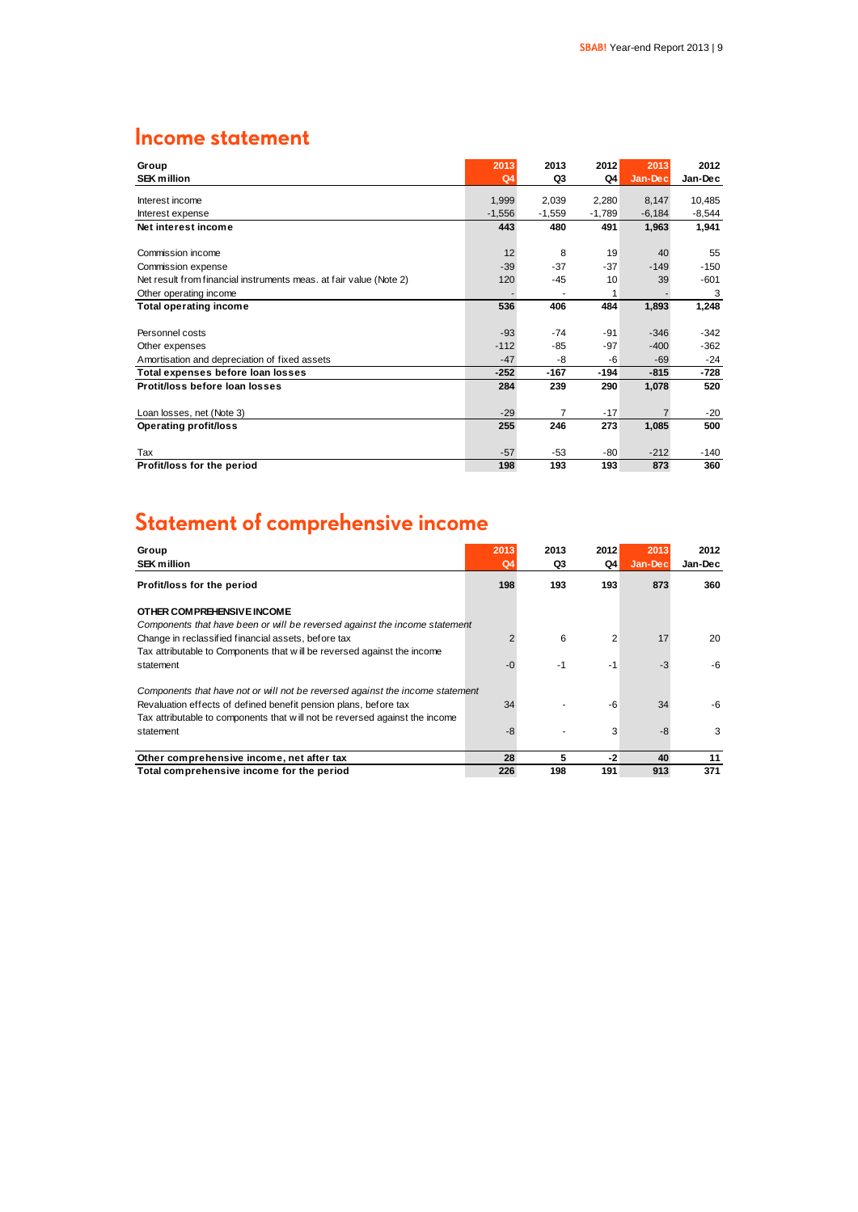### **Income statement**

| Group                                                              | 2013           | 2013           | 2012     | 2013     | 2012     |
|--------------------------------------------------------------------|----------------|----------------|----------|----------|----------|
| <b>SEK million</b>                                                 | Q <sub>4</sub> | Q3             | Q4       | Jan-Dec  | Jan-Dec  |
| Interest income                                                    | 1,999          | 2,039          | 2,280    | 8,147    | 10,485   |
| Interest expense                                                   | $-1,556$       | $-1,559$       | $-1,789$ | $-6,184$ | $-8,544$ |
| Net interest income                                                | 443            | 480            | 491      | 1,963    | 1,941    |
|                                                                    |                |                |          |          |          |
| Commission income                                                  | 12             | 8              | 19       | 40       | 55       |
| Commission expense                                                 | $-39$          | $-37$          | $-37$    | $-149$   | $-150$   |
| Net result from financial instruments meas. at fair value (Note 2) | 120            | $-45$          | 10       | 39       | $-601$   |
| Other operating income                                             |                | ٠              | 1        |          | 3        |
| <b>Total operating income</b>                                      | 536            | 406            | 484      | 1,893    | 1,248    |
|                                                                    |                |                |          |          |          |
| Personnel costs                                                    | $-93$          | $-74$          | $-91$    | $-346$   | $-342$   |
| Other expenses                                                     | $-112$         | $-85$          | $-97$    | $-400$   | $-362$   |
| Amortisation and depreciation of fixed assets                      | $-47$          | -8             | -6       | $-69$    | $-24$    |
| Total expenses before loan losses                                  | $-252$         | $-167$         | $-194$   | $-815$   | $-728$   |
| Protit/loss before loan losses                                     | 284            | 239            | 290      | 1,078    | 520      |
|                                                                    |                |                |          |          |          |
| Loan losses, net (Note 3)                                          | $-29$          | $\overline{7}$ | $-17$    |          | $-20$    |
| <b>Operating profit/loss</b>                                       | 255            | 246            | 273      | 1,085    | 500      |
|                                                                    |                |                |          |          |          |
| Tax                                                                | $-57$          | $-53$          | $-80$    | $-212$   | $-140$   |
| Profit/loss for the period                                         | 198            | 193            | 193      | 873      | 360      |

## **Statement of comprehensive income**

| Group<br><b>SEK million</b>                                                   | 2013<br>Q4 | 2013<br>Q3 | 2012<br>Q4     | 2013<br>Jan-Dec | 2012<br>Jan-Dec |
|-------------------------------------------------------------------------------|------------|------------|----------------|-----------------|-----------------|
| Profit/loss for the period                                                    | 198        | 193        | 193            | 873             | 360             |
| OTHER COMPREHENSIVE INCOME                                                    |            |            |                |                 |                 |
| Components that have been or will be reversed against the income statement    |            |            |                |                 |                 |
| Change in reclassified financial assets, before tax                           |            | 6          | $\overline{2}$ | 17              | 20              |
| Tax attributable to Components that will be reversed against the income       |            |            |                |                 |                 |
| statement                                                                     | $-0$       | $-1$       | -1             | $-3$            | -6              |
| Components that have not or will not be reversed against the income statement |            |            |                |                 |                 |
| Revaluation effects of defined benefit pension plans, before tax              | 34         |            | -6             | 34              | -6              |
| Tax attributable to components that will not be reversed against the income   |            |            |                |                 |                 |
| statement                                                                     | -8         |            | 3              | -8              | 3               |
|                                                                               |            |            |                |                 |                 |
| Other comprehensive income, net after tax                                     | 28         | 5          | $-2$           | 40              | 11              |
| Total comprehensive income for the period                                     | 226        | 198        | 191            | 913             | 371             |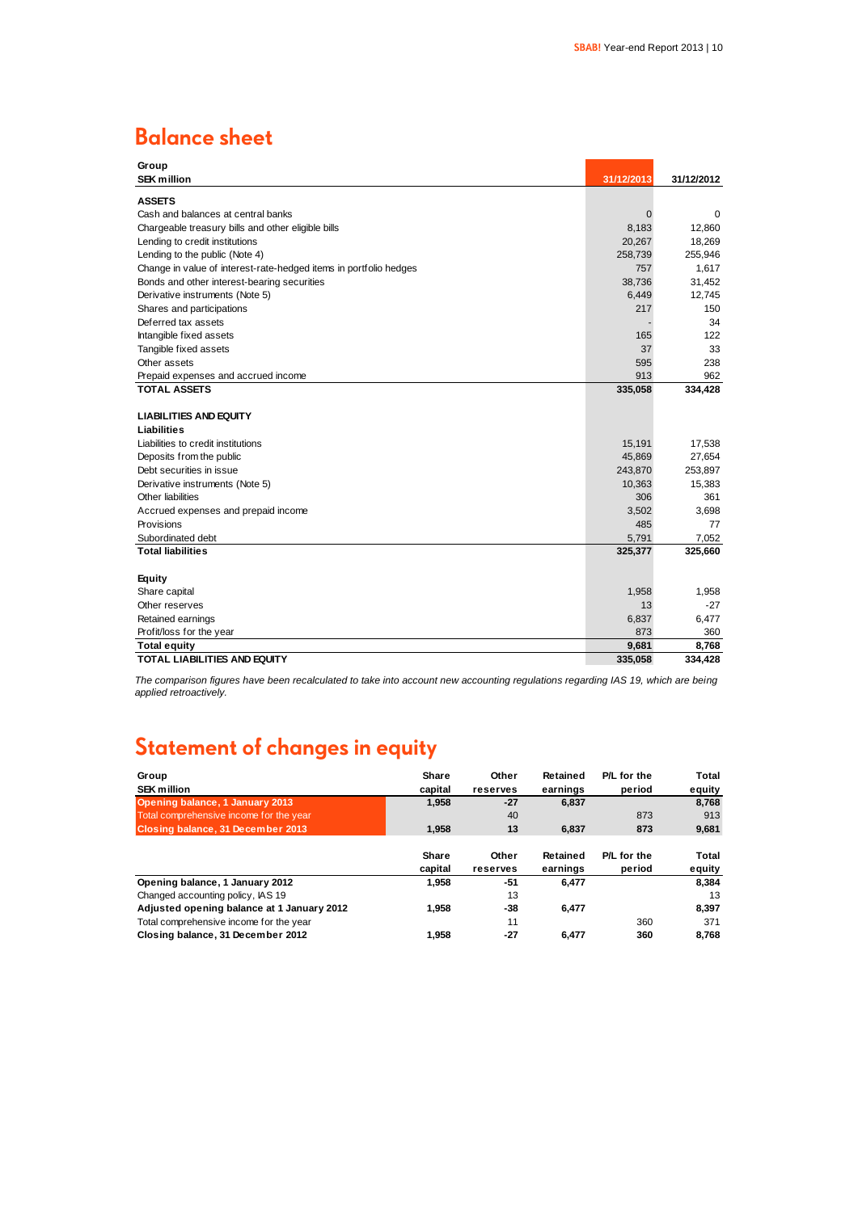### **Balance sheet**

| Group                                                             |             |            |
|-------------------------------------------------------------------|-------------|------------|
| <b>SEK million</b>                                                | 31/12/2013  | 31/12/2012 |
| <b>ASSETS</b>                                                     |             |            |
| Cash and balances at central banks                                | $\mathbf 0$ | 0          |
| Chargeable treasury bills and other eligible bills                | 8,183       | 12,860     |
| Lending to credit institutions                                    | 20,267      | 18,269     |
| Lending to the public (Note 4)                                    | 258,739     | 255,946    |
| Change in value of interest-rate-hedged items in portfolio hedges | 757         | 1,617      |
| Bonds and other interest-bearing securities                       | 38,736      | 31,452     |
| Derivative instruments (Note 5)                                   | 6,449       | 12,745     |
| Shares and participations                                         | 217         | 150        |
| Deferred tax assets                                               |             | 34         |
| Intangible fixed assets                                           | 165         | 122        |
| Tangible fixed assets                                             | 37          | 33         |
| Other assets                                                      | 595         | 238        |
| Prepaid expenses and accrued income                               | 913         | 962        |
| <b>TOTAL ASSETS</b>                                               | 335,058     | 334,428    |
|                                                                   |             |            |
| <b>LIABILITIES AND EQUITY</b>                                     |             |            |
| <b>Liabilities</b>                                                |             |            |
| Liabilities to credit institutions                                | 15,191      | 17,538     |
| Deposits from the public                                          | 45,869      | 27,654     |
| Debt securities in issue                                          | 243,870     | 253,897    |
| Derivative instruments (Note 5)                                   | 10,363      | 15,383     |
| Other liabilities                                                 | 306         | 361        |
| Accrued expenses and prepaid income                               | 3,502       | 3,698      |
| Provisions                                                        | 485         | 77         |
| Subordinated debt                                                 | 5,791       | 7,052      |
| <b>Total liabilities</b>                                          | 325,377     | 325,660    |
|                                                                   |             |            |
| <b>Equity</b>                                                     |             |            |
| Share capital                                                     | 1,958       | 1,958      |
| Other reserves                                                    | 13          | $-27$      |
| Retained earnings                                                 | 6,837       | 6,477      |
| Profit/loss for the year                                          | 873         | 360        |
| <b>Total equity</b>                                               | 9,681       | 8,768      |
| TOTAL LIABILITIES AND EQUITY                                      | 335,058     | 334.428    |

*The comparison figures have been recalculated to take into account new accounting regulations regarding IAS 19, which are being applied retroactively.*

### **Statement of changes in equity**

| Group                                      | Share        | Other    | Retained | P/L for the | Total  |
|--------------------------------------------|--------------|----------|----------|-------------|--------|
| <b>SEK million</b>                         | capital      | reserves | earnings | period      | equity |
| Opening balance, 1 January 2013            | 1.958        | $-27$    | 6,837    |             | 8,768  |
| Total comprehensive income for the year    |              | 40       |          | 873         | 913    |
| Closing balance, 31 December 2013          | 1.958        | 13       | 6.837    | 873         | 9,681  |
|                                            | <b>Share</b> | Other    | Retained | P/L for the | Total  |
|                                            | capital      | reserves | earnings | period      | equity |
| Opening balance, 1 January 2012            | 1.958        | -51      | 6.477    |             | 8,384  |
| Changed accounting policy, IAS 19          |              | 13       |          |             | 13     |
| Adjusted opening balance at 1 January 2012 | 1.958        | -38      | 6.477    |             | 8,397  |
| Total comprehensive income for the year    |              | 11       |          | 360         | 371    |
| Closing balance, 31 December 2012          | 1.958        | -27      | 6.477    | 360         | 8.768  |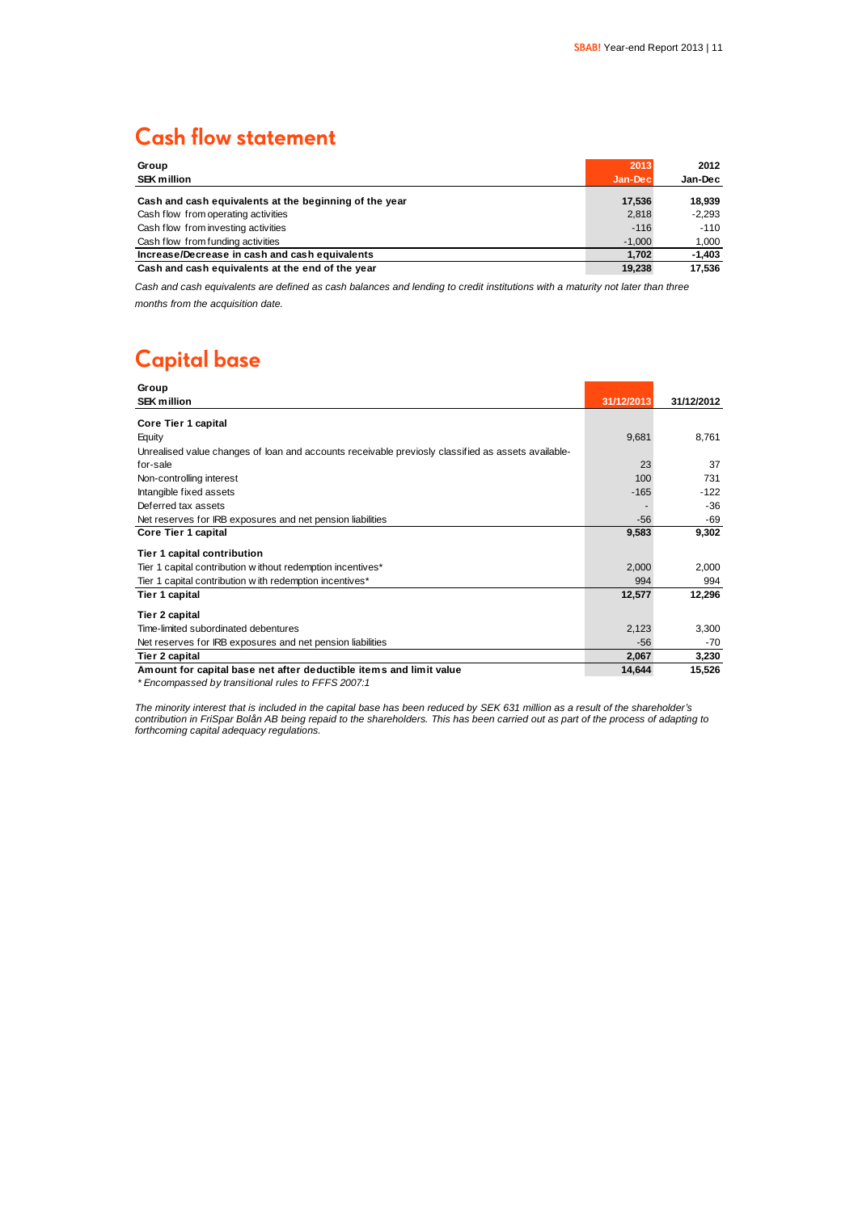### **Cash flow statement**

| Group                                                  | 2013     | 2012     |
|--------------------------------------------------------|----------|----------|
| <b>SEK million</b>                                     | Jan-Dec  | Jan-Dec  |
| Cash and cash equivalents at the beginning of the year | 17,536   | 18.939   |
| Cash flow from operating activities                    | 2.818    | $-2.293$ |
| Cash flow from investing activities                    | $-116$   | $-110$   |
| Cash flow from funding activities                      | $-1.000$ | 1.000    |
| Increase/Decrease in cash and cash equivalents         | 1.702    | $-1,403$ |
| Cash and cash equivalents at the end of the year       | 19.238   | 17.536   |

*Cash and cash equivalents are defined as cash balances and lending to credit institutions with a maturity not later than three months from the acquisition date.*

### **Capital base**

| Group                                                                                              |            |            |
|----------------------------------------------------------------------------------------------------|------------|------------|
| <b>SEK million</b>                                                                                 | 31/12/2013 | 31/12/2012 |
| Core Tier 1 capital                                                                                |            |            |
| Equity                                                                                             | 9,681      | 8,761      |
| Unrealised value changes of loan and accounts receivable previosly classified as assets available- |            |            |
| for-sale                                                                                           | 23         | 37         |
| Non-controlling interest                                                                           | 100        | 731        |
| Intangible fixed assets                                                                            | $-165$     | $-122$     |
| Deferred tax assets                                                                                |            | -36        |
| Net reserves for IRB exposures and net pension liabilities                                         | $-56$      | -69        |
| Core Tier 1 capital                                                                                | 9,583      | 9,302      |
| Tier 1 capital contribution                                                                        |            |            |
| Tier 1 capital contribution w ithout redemption incentives*                                        | 2,000      | 2,000      |
| Tier 1 capital contribution w ith redemption incentives*                                           | 994        | 994        |
| Tier 1 capital                                                                                     | 12,577     | 12,296     |
| Tier 2 capital                                                                                     |            |            |
| Time-limited subordinated debentures                                                               | 2,123      | 3,300      |
| Net reserves for IRB exposures and net pension liabilities                                         | $-56$      | $-70$      |
| Tier 2 capital                                                                                     | 2,067      | 3,230      |
| Amount for capital base net after deductible items and limit value                                 | 14,644     | 15,526     |

*\* Encompassed by transitional rules to FFFS 2007:1*

*The minority interest that is included in the capital base has been reduced by SEK 631 million as a result of the shareholder's contribution in FriSpar Bolån AB being repaid to the shareholders. This has been carried out as part of the process of adapting to forthcoming capital adequacy regulations.*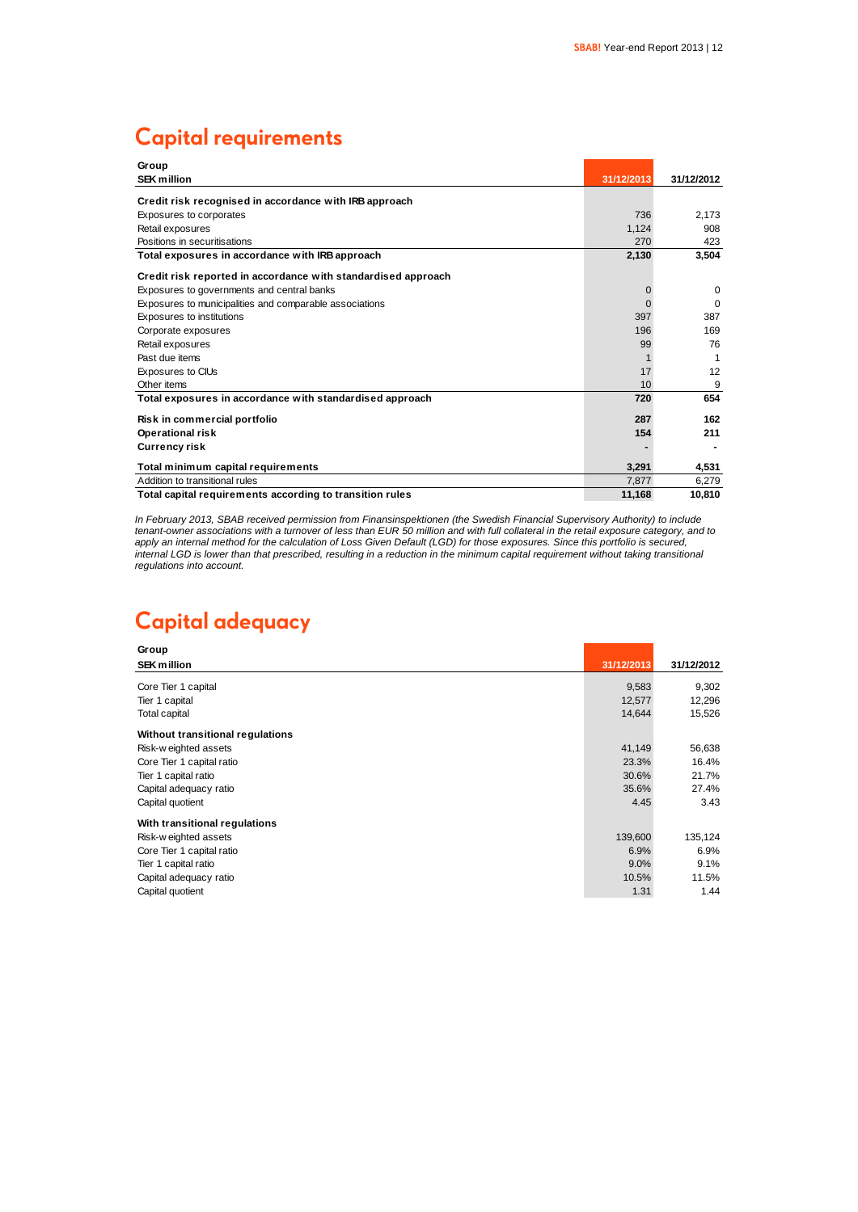### **Capital requirements**

| Group                                                         |            |            |
|---------------------------------------------------------------|------------|------------|
| <b>SEK million</b>                                            | 31/12/2013 | 31/12/2012 |
| Credit risk recognised in accordance with IRB approach        |            |            |
| Exposures to corporates                                       | 736        | 2.173      |
| Retail exposures                                              | 1.124      | 908        |
| Positions in securitisations                                  | 270        | 423        |
| Total exposures in accordance with IRB approach               | 2,130      | 3,504      |
| Credit risk reported in accordance with standardised approach |            |            |
| Exposures to governments and central banks                    | $\Omega$   | $\Omega$   |
| Exposures to municipalities and comparable associations       |            | $\Omega$   |
| Exposures to institutions                                     | 397        | 387        |
| Corporate exposures                                           | 196        | 169        |
| Retail exposures                                              | 99         | 76         |
| Past due items                                                |            |            |
| Exposures to CIUs                                             | 17         | 12         |
| Other items                                                   | 10         | 9          |
| Total exposures in accordance with standardised approach      | 720        | 654        |
| Risk in commercial portfolio                                  | 287        | 162        |
| <b>Operational risk</b>                                       | 154        | 211        |
| <b>Currency risk</b>                                          |            |            |
| Total minimum capital requirements                            | 3.291      | 4,531      |
| Addition to transitional rules                                | 7.877      | 6,279      |
| Total capital requirements according to transition rules      | 11.168     | 10.810     |

*In February 2013, SBAB received permission from Finansinspektionen (the Swedish Financial Supervisory Authority) to include tenant-owner associations with a turnover of less than EUR 50 million and with full collateral in the retail exposure category, and to apply an internal method for the calculation of Loss Given Default (LGD) for those exposures. Since this portfolio is secured, internal LGD is lower than that prescribed, resulting in a reduction in the minimum capital requirement without taking transitional regulations into account.*

### **Capital adequacy**

| Group                            |            |            |
|----------------------------------|------------|------------|
| <b>SEK million</b>               | 31/12/2013 | 31/12/2012 |
| Core Tier 1 capital              | 9,583      | 9,302      |
| Tier 1 capital                   | 12,577     | 12,296     |
| Total capital                    | 14,644     | 15,526     |
| Without transitional regulations |            |            |
| Risk-w eighted assets            | 41,149     | 56,638     |
| Core Tier 1 capital ratio        | 23.3%      | 16.4%      |
| Tier 1 capital ratio             | 30.6%      | 21.7%      |
| Capital adequacy ratio           | 35.6%      | 27.4%      |
| Capital quotient                 | 4.45       | 3.43       |
| With transitional regulations    |            |            |
| Risk-w eighted assets            | 139,600    | 135,124    |
| Core Tier 1 capital ratio        | 6.9%       | 6.9%       |
| Tier 1 capital ratio             | 9.0%       | 9.1%       |
| Capital adequacy ratio           | 10.5%      | 11.5%      |
| Capital quotient                 | 1.31       | 1.44       |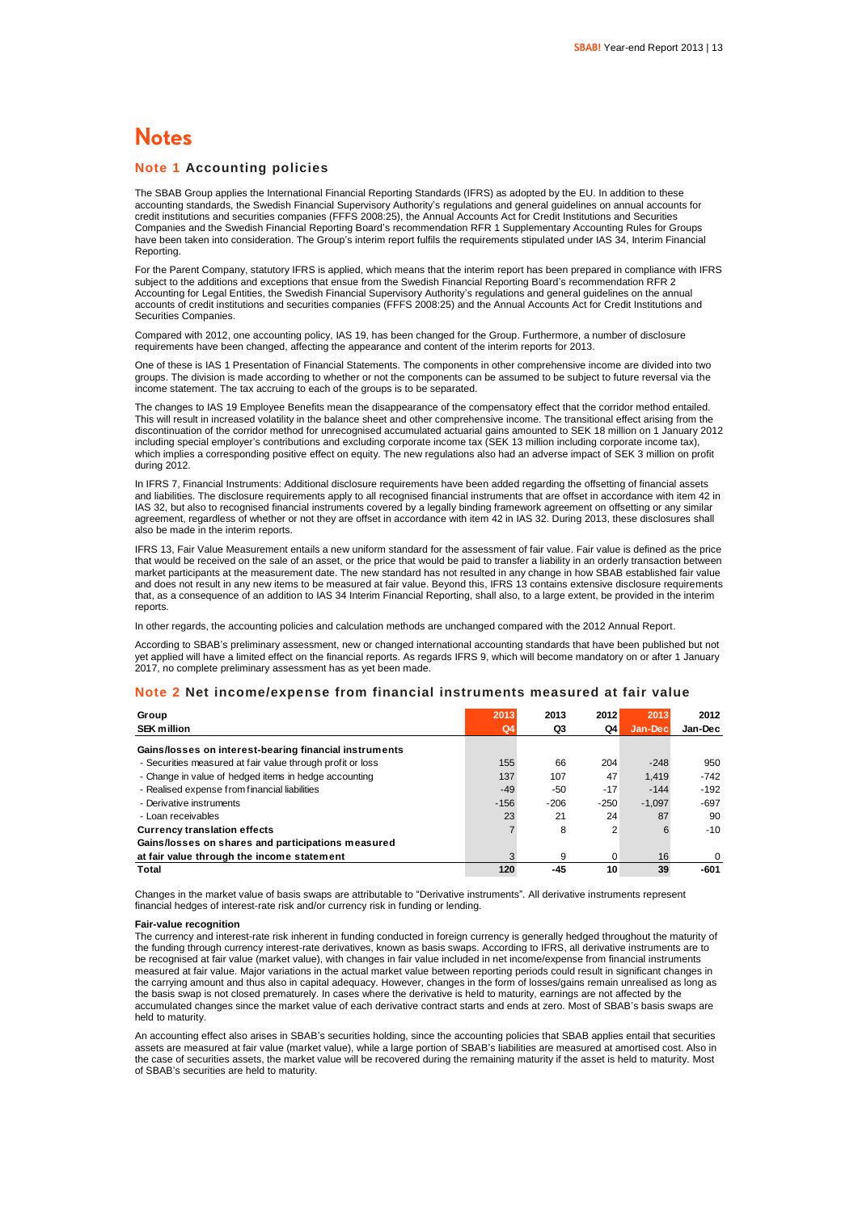### **Notes**

#### **Note 1 Accounting policies**

The SBAB Group applies the International Financial Reporting Standards (IFRS) as adopted by the EU. In addition to these accounting standards, the Swedish Financial Supervisory Authority's regulations and general guidelines on annual accounts for credit institutions and securities companies (FFFS 2008:25), the Annual Accounts Act for Credit Institutions and Securities Companies and the Swedish Financial Reporting Board's recommendation RFR 1 Supplementary Accounting Rules for Groups have been taken into consideration. The Group's interim report fulfils the requirements stipulated under IAS 34, Interim Financial Reporting.

For the Parent Company, statutory IFRS is applied, which means that the interim report has been prepared in compliance with IFRS subject to the additions and exceptions that ensue from the Swedish Financial Reporting Board's recommendation RFR 2 Accounting for Legal Entities, the Swedish Financial Supervisory Authority's regulations and general guidelines on the annual accounts of credit institutions and securities companies (FFFS 2008:25) and the Annual Accounts Act for Credit Institutions and Securities Companies.

Compared with 2012, one accounting policy, IAS 19, has been changed for the Group. Furthermore, a number of disclosure requirements have been changed, affecting the appearance and content of the interim reports for 2013.

One of these is IAS 1 Presentation of Financial Statements. The components in other comprehensive income are divided into two groups. The division is made according to whether or not the components can be assumed to be subject to future reversal via the income statement. The tax accruing to each of the groups is to be separated.

The changes to IAS 19 Employee Benefits mean the disappearance of the compensatory effect that the corridor method entailed. This will result in increased volatility in the balance sheet and other comprehensive income. The transitional effect arising from the discontinuation of the corridor method for unrecognised accumulated actuarial gains amounted to SEK 18 million on 1 January 2012 including special employer's contributions and excluding corporate income tax (SEK 13 million including corporate income tax), which implies a corresponding positive effect on equity. The new regulations also had an adverse impact of SEK 3 million on profit during 2012.

In IFRS 7, Financial Instruments: Additional disclosure requirements have been added regarding the offsetting of financial assets and liabilities. The disclosure requirements apply to all recognised financial instruments that are offset in accordance with item 42 in IAS 32, but also to recognised financial instruments covered by a legally binding framework agreement on offsetting or any similar agreement, regardless of whether or not they are offset in accordance with item 42 in IAS 32. During 2013, these disclosures shall also be made in the interim reports.

IFRS 13, Fair Value Measurement entails a new uniform standard for the assessment of fair value. Fair value is defined as the price that would be received on the sale of an asset, or the price that would be paid to transfer a liability in an orderly transaction between market participants at the measurement date. The new standard has not resulted in any change in how SBAB established fair value and does not result in any new items to be measured at fair value. Beyond this, IFRS 13 contains extensive disclosure requirements that, as a consequence of an addition to IAS 34 Interim Financial Reporting, shall also, to a large extent, be provided in the interim reports.

In other regards, the accounting policies and calculation methods are unchanged compared with the 2012 Annual Report.

According to SBAB's preliminary assessment, new or changed international accounting standards that have been published but not yet applied will have a limited effect on the financial reports. As regards IFRS 9, which will become mandatory on or after 1 January 2017, no complete preliminary assessment has as yet been made.

#### **Note 2 Net income/expense from financial instruments measured at fair value**

| Group                                                      | 2013   | 2013   | 2012   | 2013     | 2012      |
|------------------------------------------------------------|--------|--------|--------|----------|-----------|
| <b>SEK million</b>                                         | Q4     | Q3     | Q4     | Jan-Dec  | Jan-Dec   |
| Gains/losses on interest-bearing financial instruments     |        |        |        |          |           |
| - Securities measured at fair value through profit or loss | 155    | 66     | 204    | $-248$   | 950       |
| - Change in value of hedged items in hedge accounting      | 137    | 107    | 47     | 1.419    | $-742$    |
| - Realised expense from financial liabilities              | $-49$  | $-50$  | $-17$  | $-144$   | $-192$    |
| - Derivative instruments                                   | $-156$ | $-206$ | $-250$ | $-1.097$ | $-697$    |
| - Loan receivables                                         | 23     | 21     | 24     | 87       | 90        |
| <b>Currency translation effects</b>                        |        | 8      | 2      |          | $-10^{-}$ |
| Gains/losses on shares and participations measured         |        |        |        |          |           |
| at fair value through the income statement                 |        | 9      | 0      | 16       | $\Omega$  |
| Total                                                      | 120    | -45    | 10     | 39       | $-601$    |

Changes in the market value of basis swaps are attributable to "Derivative instruments". All derivative instruments represent financial hedges of interest-rate risk and/or currency risk in funding or lending.

#### **Fair-value recognition**

The currency and interest-rate risk inherent in funding conducted in foreign currency is generally hedged throughout the maturity of the funding through currency interest-rate derivatives, known as basis swaps. According to IFRS, all derivative instruments are to be recognised at fair value (market value), with changes in fair value included in net income/expense from financial instruments measured at fair value. Major variations in the actual market value between reporting periods could result in significant changes in the carrying amount and thus also in capital adequacy. However, changes in the form of losses/gains remain unrealised as long as the basis swap is not closed prematurely. In cases where the derivative is held to maturity, earnings are not affected by the accumulated changes since the market value of each derivative contract starts and ends at zero. Most of SBAB's basis swaps are held to maturity.

An accounting effect also arises in SBAB's securities holding, since the accounting policies that SBAB applies entail that securities assets are measured at fair value (market value), while a large portion of SBAB's liabilities are measured at amortised cost. Also in the case of securities assets, the market value will be recovered during the remaining maturity if the asset is held to maturity. Most of SBAB's securities are held to maturity.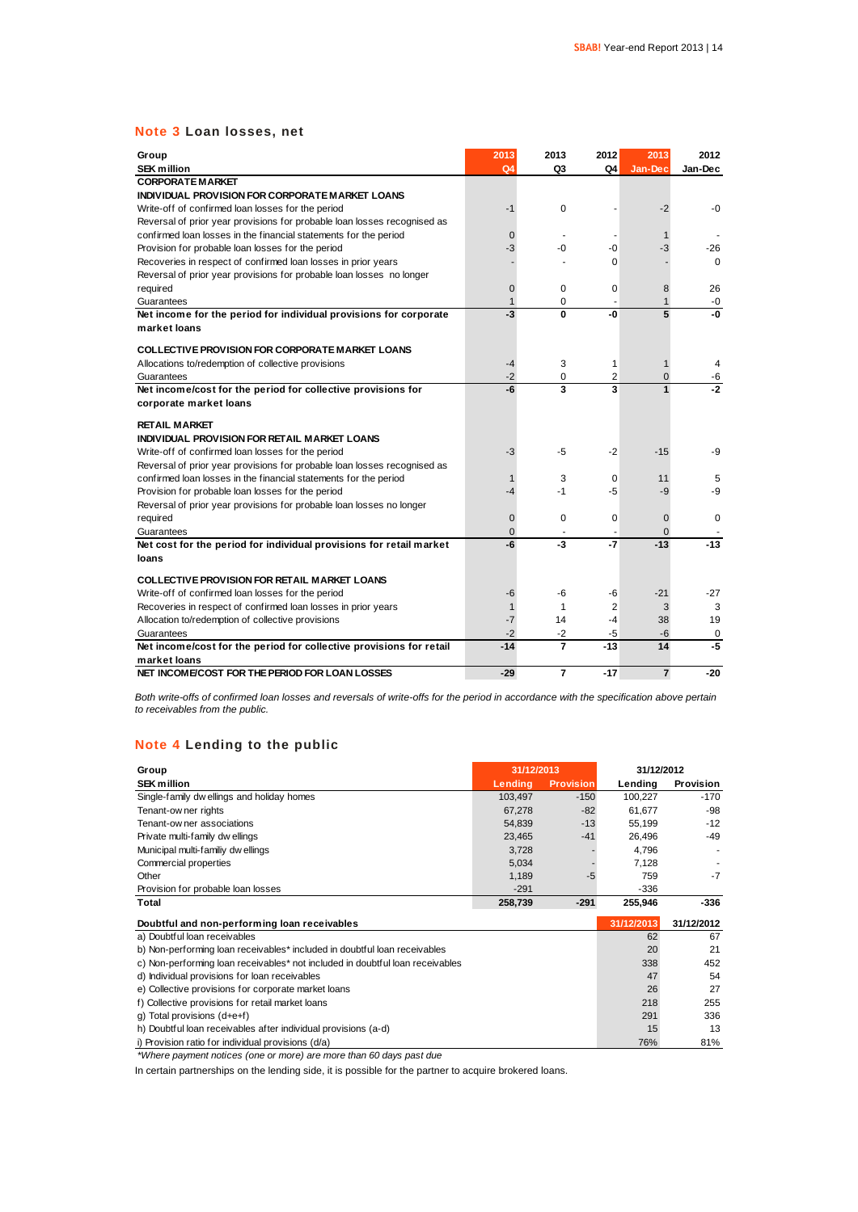### **Note 3 Loan losses, net**

| Group<br><b>SEK million</b>                                              | 2013<br>Q <sub>4</sub> | 2013<br>Q3     | 2012<br>Q4 | 2013<br>Jan-Dec | 2012<br>Jan-Dec |
|--------------------------------------------------------------------------|------------------------|----------------|------------|-----------------|-----------------|
| <b>CORPORATE MARKET</b>                                                  |                        |                |            |                 |                 |
| INDIVIDUAL PROVISION FOR CORPORATE MARKET LOANS                          |                        |                |            |                 |                 |
| Write-off of confirmed loan losses for the period                        | $-1$                   | 0              |            | $-2$            | $-0$            |
| Reversal of prior year provisions for probable loan losses recognised as |                        |                |            |                 |                 |
| confirmed loan losses in the financial statements for the period         | $\mathbf 0$            |                |            | $\mathbf{1}$    |                 |
| Provision for probable loan losses for the period                        | -3                     | -0             | -0         | -3              | -26             |
| Recoveries in respect of confirmed loan losses in prior years            |                        |                | $\Omega$   |                 | $\Omega$        |
| Reversal of prior year provisions for probable loan losses no longer     |                        |                |            |                 |                 |
| required                                                                 | $\mathbf 0$            | 0              | $\Omega$   | 8               | 26              |
| Guarantees                                                               | $\mathbf{1}$           | 0              |            | $\mathbf{1}$    | $-0$            |
| Net income for the period for individual provisions for corporate        | $-3$                   | 0              | -0         | 5               | -0              |
| market loans                                                             |                        |                |            |                 |                 |
|                                                                          |                        |                |            |                 |                 |
| <b>COLLECTIVE PROVISION FOR CORPORATE MARKET LOANS</b>                   |                        |                |            |                 |                 |
| Allocations to/redemption of collective provisions                       | $-4$                   | 3              | 1          | $\mathbf{1}$    | 4               |
| Guarantees                                                               | $-2$                   | 0              | 2          | $\overline{0}$  | -6              |
| Net income/cost for the period for collective provisions for             | -6                     | 3              | 3          | $\overline{1}$  | $-2$            |
| corporate market loans                                                   |                        |                |            |                 |                 |
| <b>RETAIL MARKET</b>                                                     |                        |                |            |                 |                 |
| INDIVIDUAL PROVISION FOR RETAIL MARKET LOANS                             |                        |                |            |                 |                 |
| Write-off of confirmed loan losses for the period                        | -3                     | -5             | $-2$       | $-15$           | -9              |
| Reversal of prior year provisions for probable loan losses recognised as |                        |                |            |                 |                 |
| confirmed loan losses in the financial statements for the period         |                        | 3              | $\Omega$   | 11              | 5               |
| Provision for probable loan losses for the period                        | $-4$                   | $-1$           | -5         | -9              | -9              |
| Reversal of prior year provisions for probable loan losses no longer     |                        |                |            |                 |                 |
| required                                                                 | $\mathbf 0$            | 0              | 0          | $\overline{0}$  | $\mathbf 0$     |
| Guarantees                                                               | $\Omega$               |                |            | $\Omega$        |                 |
| Net cost for the period for individual provisions for retail market      | -6                     | $-3$           | $-7$       | $-13$           | $-13$           |
| loans                                                                    |                        |                |            |                 |                 |
|                                                                          |                        |                |            |                 |                 |
| <b>COLLECTIVE PROVISION FOR RETAIL MARKET LOANS</b>                      |                        |                |            |                 |                 |
| Write-off of confirmed loan losses for the period                        | -6                     | -6             | -6         | $-21$           | -27             |
| Recoveries in respect of confirmed loan losses in prior years            | $\mathbf{1}$           | 1              | 2          | 3               | 3               |
| Allocation to/redemption of collective provisions                        | $-7$                   | 14             | $-4$       | 38              | 19              |
| Guarantees                                                               | $-2$                   | $-2$           | $-5$       | $-6$            | $\mathbf 0$     |
| Net income/cost for the period for collective provisions for retail      | $-14$                  | $\overline{7}$ | $-13$      | 14              | -5              |
| market loans                                                             |                        |                |            |                 |                 |
| NET INCOME/COST FOR THE PERIOD FOR LOAN LOSSES                           | $-29$                  | $\overline{7}$ | $-17$      | $\overline{7}$  | $-20$           |

*Both write-offs of confirmed loan losses and reversals of write-offs for the period in accordance with the specification above pertain to receivables from the public.*

### **Note 4 Lending to the public**

| $11016 + 15111111$                                                            |            |                  |            |            |
|-------------------------------------------------------------------------------|------------|------------------|------------|------------|
| Group                                                                         | 31/12/2013 |                  | 31/12/2012 |            |
| <b>SEK million</b>                                                            | Lending    | <b>Provision</b> | Lending    | Provision  |
| Single-family dw ellings and holiday homes                                    | 103,497    | $-150$           | 100,227    | $-170$     |
| Tenant-ow ner rights                                                          | 67,278     | $-82$            | 61,677     | -98        |
| Tenant-ow ner associations                                                    | 54,839     | $-13$            | 55,199     | $-12$      |
| Private multi-family dwellings                                                | 23,465     | $-41$            | 26,496     | $-49$      |
| Municipal multi-familiy dw ellings                                            | 3,728      |                  | 4,796      |            |
| Commercial properties                                                         | 5,034      |                  | 7,128      |            |
| Other                                                                         | 1,189      | $-5$             | 759        | $-7$       |
| Provision for probable loan losses                                            | $-291$     |                  | $-336$     |            |
| Total                                                                         | 258,739    | $-291$           | 255,946    | -336       |
| Doubtful and non-performing loan receivables                                  |            |                  | 31/12/2013 | 31/12/2012 |
| a) Doubtful loan receivables                                                  |            |                  | 62         | 67         |
| b) Non-performing loan receivables* included in doubtful loan receivables     |            |                  | 20         | 21         |
| c) Non-performing loan receivables* not included in doubtful loan receivables |            |                  | 338        | 452        |
| d) Individual provisions for loan receivables                                 |            |                  | 47         | 54         |
| e) Collective provisions for corporate market loans                           |            |                  | 26         | 27         |
| f) Collective provisions for retail market loans                              |            |                  | 218        | 255        |
| g) Total provisions (d+e+f)                                                   |            |                  | 291        | 336        |
| h) Doubtful loan receivables after individual provisions (a-d)                |            |                  | 15         | 13         |
|                                                                               |            |                  |            |            |

*\*Where payment notices (one or more) are more than 60 days past due*

In certain partnerships on the lending side, it is possible for the partner to acquire brokered loans.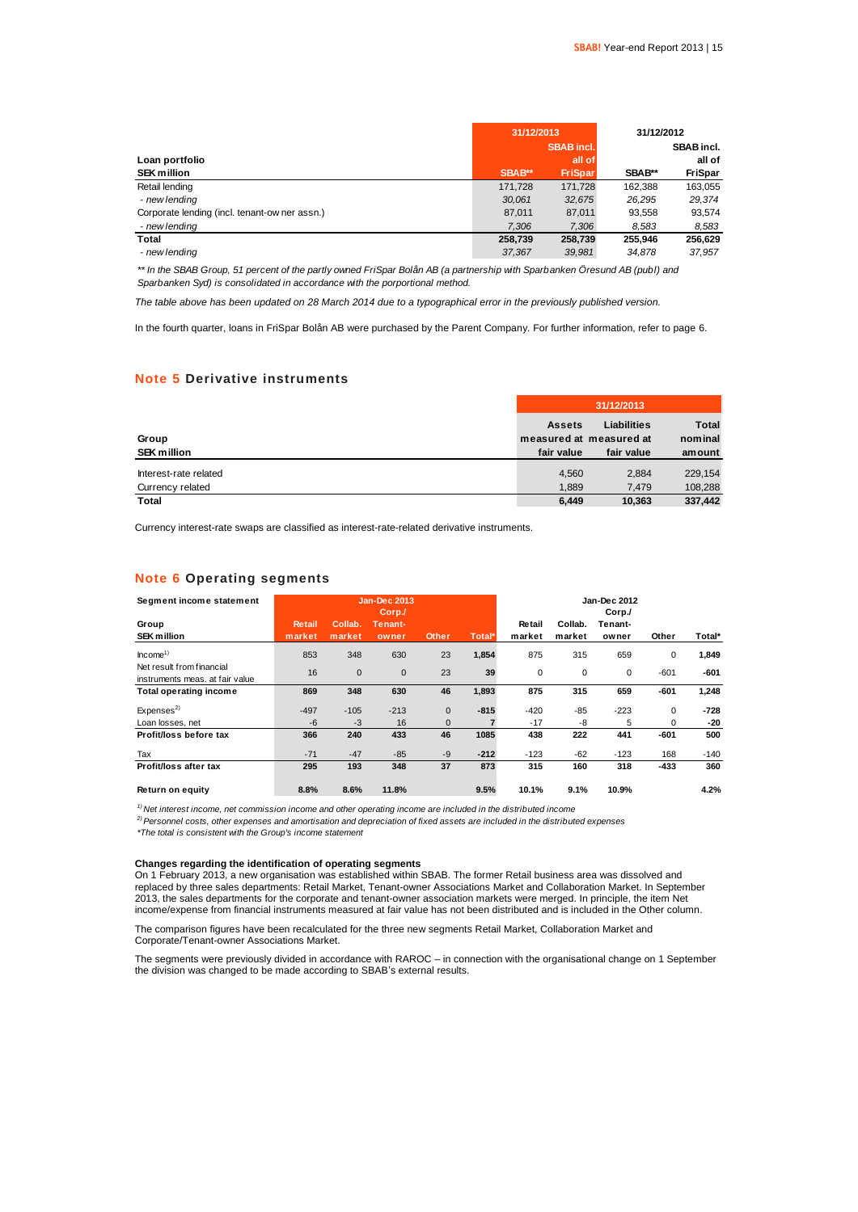|                                               | 31/12/2013 |                   | 31/12/2012 |            |
|-----------------------------------------------|------------|-------------------|------------|------------|
|                                               |            | <b>SBAB</b> incl. |            | SBAB incl. |
| Loan portfolio                                |            | all of            |            | all of     |
| <b>SEK million</b>                            | SBAB**     | <b>FriSpar</b>    | SBAB**     | FriSpar    |
| Retail lending                                | 171,728    | 171.728           | 162.388    | 163,055    |
| - new lending                                 | 30.061     | 32.675            | 26.295     | 29.374     |
| Corporate lending (incl. tenant-ow ner assn.) | 87.011     | 87.011            | 93.558     | 93.574     |
| - new lending                                 | 7.306      | 7,306             | 8.583      | 8,583      |
| Total                                         | 258.739    | 258.739           | 255.946    | 256.629    |
| - new lendina                                 | 37.367     | 39.981            | 34.878     | 37.957     |

*\*\* In the SBAB Group, 51 percent of the partly owned FriSpar Bolån AB (a partnership with Sparbanken Öresund AB (publ) and Sparbanken Syd) is consolidated in accordance with the porportional method.*

*The table above has been updated on 28 March 2014 due to a typographical error in the previously published version.*

In the fourth quarter, loans in FriSpar Bolån AB were purchased by the Parent Company. For further information, refer to page 6.

### **Note 5 Derivative instruments**

|                             | 31/12/2013                                             |                                  |                                   |  |  |  |
|-----------------------------|--------------------------------------------------------|----------------------------------|-----------------------------------|--|--|--|
| Group<br><b>SEK million</b> | <b>Assets</b><br>measured at measured at<br>fair value | <b>Liabilities</b><br>fair value | <b>Total</b><br>nominal<br>amount |  |  |  |
| Interest-rate related       | 4.560                                                  | 2,884                            | 229.154                           |  |  |  |
| Currency related            | 1.889                                                  | 7.479                            | 108,288                           |  |  |  |
| <b>Total</b>                | 6,449                                                  | 10.363                           | 337.442                           |  |  |  |

Currency interest-rate swaps are classified as interest-rate-related derivative instruments.

### **Note 6 Operating segments**

| Segment income statement                                     |                         |                   | Jan-Dec 2013<br>Corp. |              |        |                  |                   | Jan-Dec 2012<br>Corp./ |             |        |
|--------------------------------------------------------------|-------------------------|-------------------|-----------------------|--------------|--------|------------------|-------------------|------------------------|-------------|--------|
| Group<br><b>SEK million</b>                                  | <b>Retail</b><br>market | Collab.<br>market | Tenant-<br>owner      | <b>Other</b> | Total* | Retail<br>market | Collab.<br>market | Tenant-<br>owner       | Other       | Total* |
| Income <sup>1</sup>                                          | 853                     | 348               | 630                   | 23           | 1,854  | 875              | 315               | 659                    | 0           | 1,849  |
| Net result from financial<br>instruments meas, at fair value | 16                      | $\mathbf{0}$      | $\mathbf{0}$          | 23           | 39     | 0                | 0                 | 0                      | $-601$      | $-601$ |
| <b>Total operating income</b>                                | 869                     | 348               | 630                   | 46           | 1,893  | 875              | 315               | 659                    | $-601$      | 1,248  |
| Expenses <sup>2)</sup>                                       | $-497$                  | $-105$            | $-213$                | $\mathbf{0}$ | $-815$ | $-420$           | $-85$             | $-223$                 | $\mathbf 0$ | -728   |
| Loan losses, net                                             | $-6$                    | $-3$              | 16                    | $\mathbf{0}$ |        | $-17$            | -8                | 5                      | 0           | -20    |
| Profit/loss before tax                                       | 366                     | 240               | 433                   | 46           | 1085   | 438              | 222               | 441                    | $-601$      | 500    |
| Tax                                                          | $-71$                   | $-47$             | $-85$                 | $-9$         | $-212$ | $-123$           | -62               | $-123$                 | 168         | $-140$ |
| Profit/loss after tax                                        | 295                     | 193               | 348                   | 37           | 873    | 315              | 160               | 318                    | $-433$      | 360    |
| Return on equity                                             | 8.8%                    | 8.6%              | 11.8%                 |              | 9.5%   | 10.1%            | 9.1%              | 10.9%                  |             | 4.2%   |

*1) Net interest income, net commission income and other operating income are included in the distributed income*

*2)Personnel costs, other expenses and amortisation and depreciation of fixed assets are included in the distributed expenses \*The total is consistent with the Group's income statement*

**Changes regarding the identification of operating segments**

On 1 February 2013, a new organisation was established within SBAB. The former Retail business area was dissolved and replaced by three sales departments: Retail Market, Tenant-owner Associations Market and Collaboration Market. In September 2013, the sales departments for the corporate and tenant-owner association markets were merged. In principle, the item Net income/expense from financial instruments measured at fair value has not been distributed and is included in the Other column.

The comparison figures have been recalculated for the three new segments Retail Market, Collaboration Market and Corporate/Tenant-owner Associations Market.

The segments were previously divided in accordance with RAROC – in connection with the organisational change on 1 September the division was changed to be made according to SBAB's external results.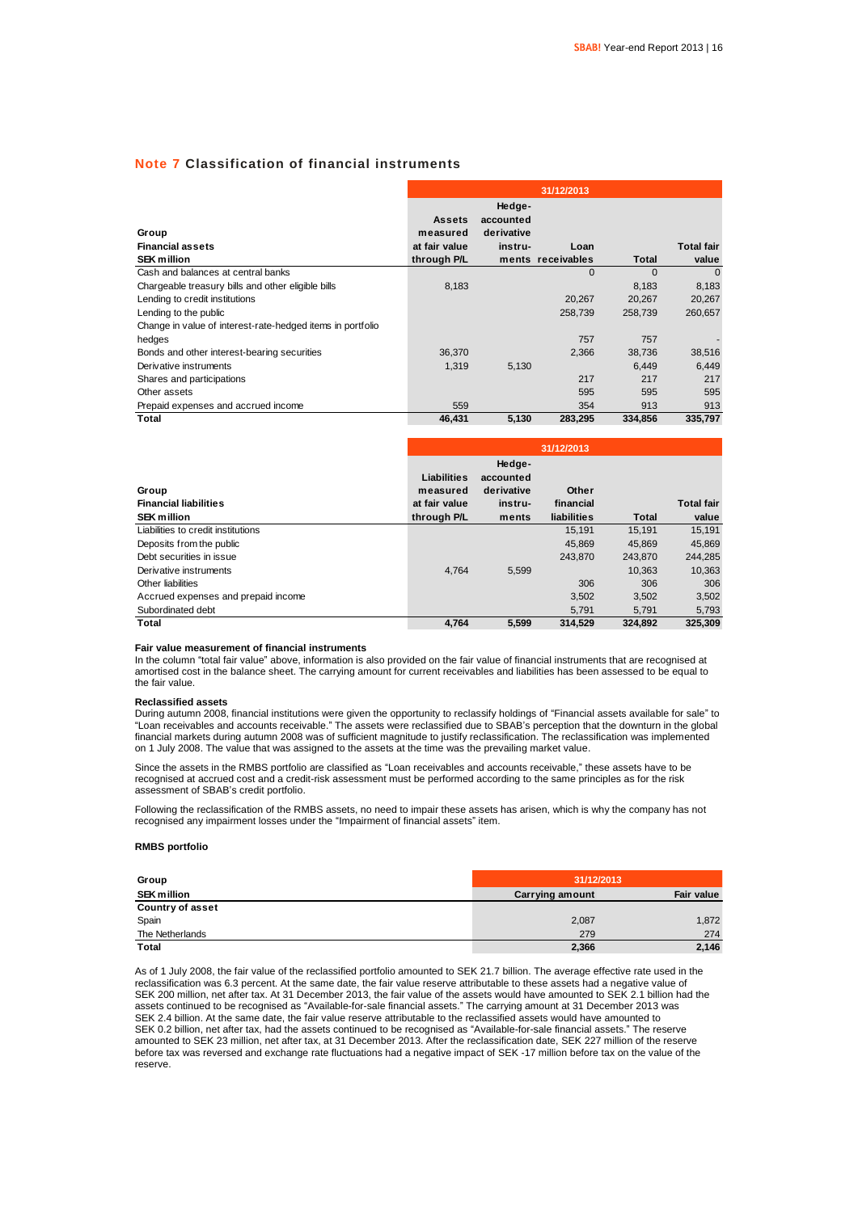### **Note 7 Classification of financial instruments**

|                                                            | 31/12/2013                                 |                                              |                   |          |                   |  |  |
|------------------------------------------------------------|--------------------------------------------|----------------------------------------------|-------------------|----------|-------------------|--|--|
| Group<br><b>Financial assets</b>                           | <b>Assets</b><br>measured<br>at fair value | Hedge-<br>accounted<br>derivative<br>instru- | Loan              |          | <b>Total fair</b> |  |  |
| <b>SEK million</b>                                         | through P/L                                |                                              | ments receivables | Total    | value             |  |  |
| Cash and balances at central banks                         |                                            |                                              | $\Omega$          | $\Omega$ | $\Omega$          |  |  |
| Chargeable treasury bills and other eligible bills         | 8,183                                      |                                              |                   | 8,183    | 8,183             |  |  |
| Lending to credit institutions                             |                                            |                                              | 20.267            | 20.267   | 20,267            |  |  |
| Lending to the public                                      |                                            |                                              | 258,739           | 258,739  | 260,657           |  |  |
| Change in value of interest-rate-hedged items in portfolio |                                            |                                              |                   |          |                   |  |  |
| hedges                                                     |                                            |                                              | 757               | 757      |                   |  |  |
| Bonds and other interest-bearing securities                | 36,370                                     |                                              | 2,366             | 38,736   | 38,516            |  |  |
| Derivative instruments                                     | 1.319                                      | 5,130                                        |                   | 6.449    | 6,449             |  |  |
| Shares and participations                                  |                                            |                                              | 217               | 217      | 217               |  |  |
| Other assets                                               |                                            |                                              | 595               | 595      | 595               |  |  |
| Prepaid expenses and accrued income                        | 559                                        |                                              | 354               | 913      | 913               |  |  |
| Total                                                      | 46.431                                     | 5,130                                        | 283,295           | 334,856  | 335.797           |  |  |

|                                                             | 31/12/2013                                              |                                                       |                                   |         |                            |  |
|-------------------------------------------------------------|---------------------------------------------------------|-------------------------------------------------------|-----------------------------------|---------|----------------------------|--|
| Group<br><b>Financial liabilities</b><br><b>SEK million</b> | Liabilities<br>measured<br>at fair value<br>through P/L | Hedge-<br>accounted<br>derivative<br>instru-<br>ments | Other<br>financial<br>liabilities | Total   | <b>Total fair</b><br>value |  |
| Liabilities to credit institutions                          |                                                         |                                                       |                                   |         |                            |  |
|                                                             |                                                         |                                                       | 15.191                            | 15.191  | 15,191                     |  |
| Deposits from the public                                    |                                                         |                                                       | 45.869                            | 45.869  | 45.869                     |  |
| Debt securities in issue                                    |                                                         |                                                       | 243.870                           | 243.870 | 244.285                    |  |
| Derivative instruments                                      | 4.764                                                   | 5,599                                                 |                                   | 10.363  | 10,363                     |  |
| Other liabilities                                           |                                                         |                                                       | 306                               | 306     | 306                        |  |
| Accrued expenses and prepaid income                         |                                                         |                                                       | 3,502                             | 3,502   | 3,502                      |  |
| Subordinated debt                                           |                                                         |                                                       | 5,791                             | 5,791   | 5,793                      |  |
| Total                                                       | 4.764                                                   | 5.599                                                 | 314.529                           | 324.892 | 325.309                    |  |

#### **Fair value measurement of financial instruments**

In the column "total fair value" above, information is also provided on the fair value of financial instruments that are recognised at amortised cost in the balance sheet. The carrying amount for current receivables and liabilities has been assessed to be equal to the fair value.

#### **Reclassified assets**

During autumn 2008, financial institutions were given the opportunity to reclassify holdings of "Financial assets available for sale" to "Loan receivables and accounts receivable." The assets were reclassified due to SBAB's perception that the downturn in the global financial markets during autumn 2008 was of sufficient magnitude to justify reclassification. The reclassification was implemented on 1 July 2008. The value that was assigned to the assets at the time was the prevailing market value.

Since the assets in the RMBS portfolio are classified as "Loan receivables and accounts receivable," these assets have to be recognised at accrued cost and a credit-risk assessment must be performed according to the same principles as for the risk assessment of SBAB's credit portfolio.

Following the reclassification of the RMBS assets, no need to impair these assets has arisen, which is why the company has not recognised any impairment losses under the "Impairment of financial assets" item.

#### **RMBS portfolio**

| Group                   | 31/12/2013             |            |  |  |  |
|-------------------------|------------------------|------------|--|--|--|
| <b>SEK million</b>      | <b>Carrying amount</b> | Fair value |  |  |  |
| <b>Country of asset</b> |                        |            |  |  |  |
| Spain                   | 2,087                  | 1,872      |  |  |  |
| The Netherlands         | 279                    | 274        |  |  |  |
| Total                   | 2,366                  | 2,146      |  |  |  |

As of 1 July 2008, the fair value of the reclassified portfolio amounted to SEK 21.7 billion. The average effective rate used in the reclassification was 6.3 percent. At the same date, the fair value reserve attributable to these assets had a negative value of SEK 200 million, net after tax. At 31 December 2013, the fair value of the assets would have amounted to SEK 2.1 billion had the assets continued to be recognised as "Available-for-sale financial assets." The carrying amount at 31 December 2013 was SEK 2.4 billion. At the same date, the fair value reserve attributable to the reclassified assets would have amounted to SEK 0.2 billion, net after tax, had the assets continued to be recognised as "Available-for-sale financial assets." The reserve amounted to SEK 23 million, net after tax, at 31 December 2013. After the reclassification date, SEK 227 million of the reserve before tax was reversed and exchange rate fluctuations had a negative impact of SEK -17 million before tax on the value of the reserve.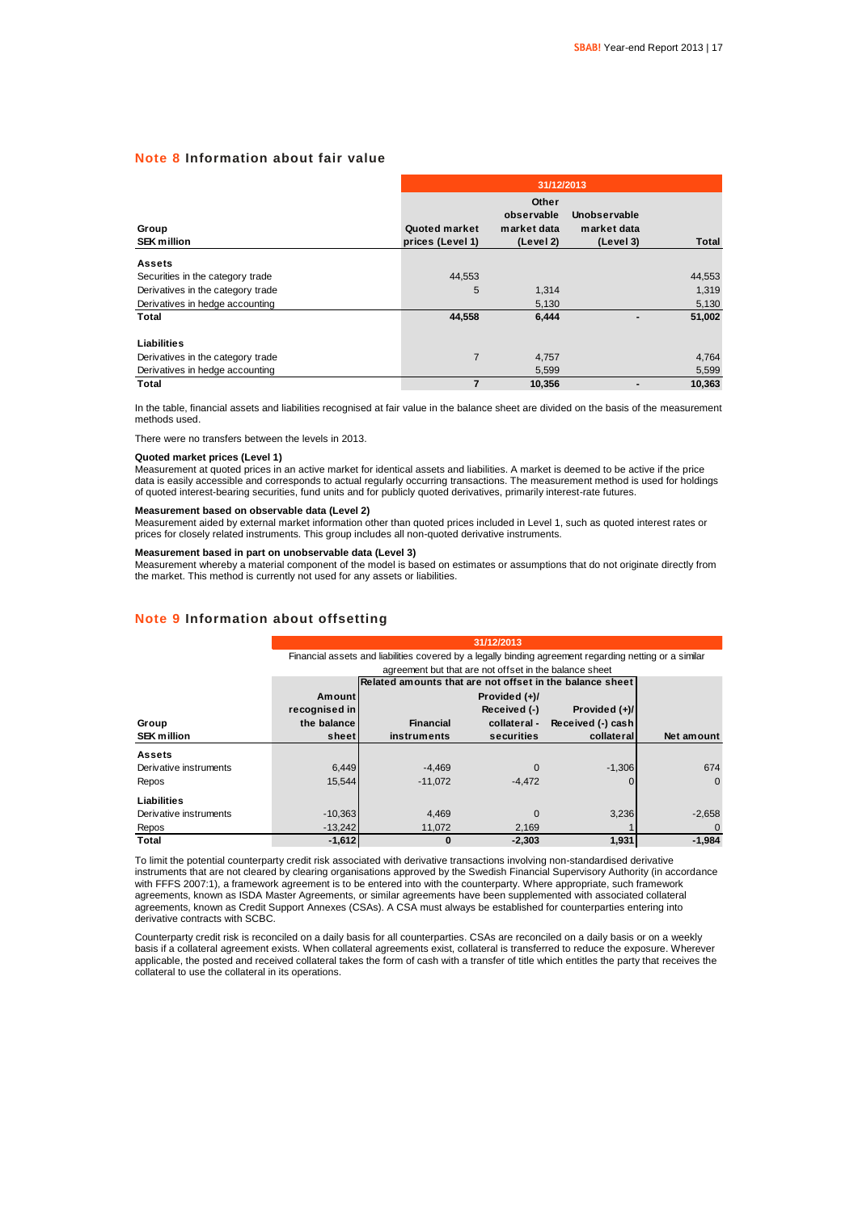### **Note 8 Information about fair value**

|                                   | 31/12/2013                        |                                                 |                                          |        |  |  |  |  |
|-----------------------------------|-----------------------------------|-------------------------------------------------|------------------------------------------|--------|--|--|--|--|
| Group<br><b>SEK million</b>       | Quoted market<br>prices (Level 1) | Other<br>observable<br>market data<br>(Level 2) | Unobservable<br>market data<br>(Level 3) | Total  |  |  |  |  |
| <b>Assets</b>                     |                                   |                                                 |                                          |        |  |  |  |  |
| Securities in the category trade  | 44,553                            |                                                 |                                          | 44,553 |  |  |  |  |
| Derivatives in the category trade | 5                                 | 1,314                                           |                                          | 1,319  |  |  |  |  |
| Derivatives in hedge accounting   |                                   | 5,130                                           |                                          | 5,130  |  |  |  |  |
| Total                             | 44,558                            | 6,444                                           | -                                        | 51,002 |  |  |  |  |
| <b>Liabilities</b>                |                                   |                                                 |                                          |        |  |  |  |  |
| Derivatives in the category trade | $\overline{7}$                    | 4,757                                           |                                          | 4,764  |  |  |  |  |
| Derivatives in hedge accounting   |                                   | 5,599                                           |                                          | 5,599  |  |  |  |  |
| <b>Total</b>                      | $\overline{7}$                    | 10,356                                          | $\blacksquare$                           | 10.363 |  |  |  |  |

In the table, financial assets and liabilities recognised at fair value in the balance sheet are divided on the basis of the measurement methods used.

There were no transfers between the levels in 2013.

#### **Quoted market prices (Level 1)**

Measurement at quoted prices in an active market for identical assets and liabilities. A market is deemed to be active if the price data is easily accessible and corresponds to actual regularly occurring transactions. The measurement method is used for holdings of quoted interest-bearing securities, fund units and for publicly quoted derivatives, primarily interest-rate futures.

### **Measurement based on observable data (Level 2)**

Measurement aided by external market information other than quoted prices included in Level 1, such as quoted interest rates or<br>prices for closely related instruments. This group includes all non-quoted derivative instrume

#### **Measurement based in part on unobservable data (Level 3)**

Measurement whereby a material component of the model is based on estimates or assumptions that do not originate directly from the market. This method is currently not used for any assets or liabilities.

#### **Note 9 Information about offsetting**

|                        |               | 31/12/2013                                                                                             |                                                          |                   |              |  |  |  |  |
|------------------------|---------------|--------------------------------------------------------------------------------------------------------|----------------------------------------------------------|-------------------|--------------|--|--|--|--|
|                        |               | Financial assets and liabilities covered by a legally binding agreement regarding netting or a similar |                                                          |                   |              |  |  |  |  |
|                        |               |                                                                                                        | agreement but that are not offset in the balance sheet   |                   |              |  |  |  |  |
|                        |               |                                                                                                        | Related amounts that are not offset in the balance sheet |                   |              |  |  |  |  |
|                        | Amount        |                                                                                                        | Provided $(+)/$                                          |                   |              |  |  |  |  |
|                        | recognised in |                                                                                                        | Received (-)                                             | Provided (+)/     |              |  |  |  |  |
| Group                  | the balance   | <b>Financial</b>                                                                                       | collateral -                                             | Received (-) cash |              |  |  |  |  |
| <b>SEK million</b>     | sheet         | instruments                                                                                            | securities                                               | collateral        | Net amount   |  |  |  |  |
| <b>Assets</b>          |               |                                                                                                        |                                                          |                   |              |  |  |  |  |
| Derivative instruments | 6,449         | $-4.469$                                                                                               | O                                                        | $-1,306$          | 674          |  |  |  |  |
| Repos                  | 15.544        | $-11.072$                                                                                              | $-4.472$                                                 |                   | $\Omega$     |  |  |  |  |
| Liabilities            |               |                                                                                                        |                                                          |                   |              |  |  |  |  |
| Derivative instruments | $-10,363$     | 4,469                                                                                                  | $\Omega$                                                 | 3,236             | $-2,658$     |  |  |  |  |
| Repos                  | $-13,242$     | 11,072                                                                                                 | 2,169                                                    |                   | $\mathbf{0}$ |  |  |  |  |
| Total                  | $-1,612$      | O                                                                                                      | $-2.303$                                                 | 1,931             | $-1.984$     |  |  |  |  |

To limit the potential counterparty credit risk associated with derivative transactions involving non-standardised derivative instruments that are not cleared by clearing organisations approved by the Swedish Financial Supervisory Authority (in accordance with FFFS 2007:1), a framework agreement is to be entered into with the counterparty. Where appropriate, such framework agreements, known as ISDA Master Agreements, or similar agreements have been supplemented with associated collateral agreements, known as Credit Support Annexes (CSAs). A CSA must always be established for counterparties entering into derivative contracts with SCBC.

Counterparty credit risk is reconciled on a daily basis for all counterparties. CSAs are reconciled on a daily basis or on a weekly basis if a collateral agreement exists. When collateral agreements exist, collateral is transferred to reduce the exposure. Wherever applicable, the posted and received collateral takes the form of cash with a transfer of title which entitles the party that receives the collateral to use the collateral in its operations.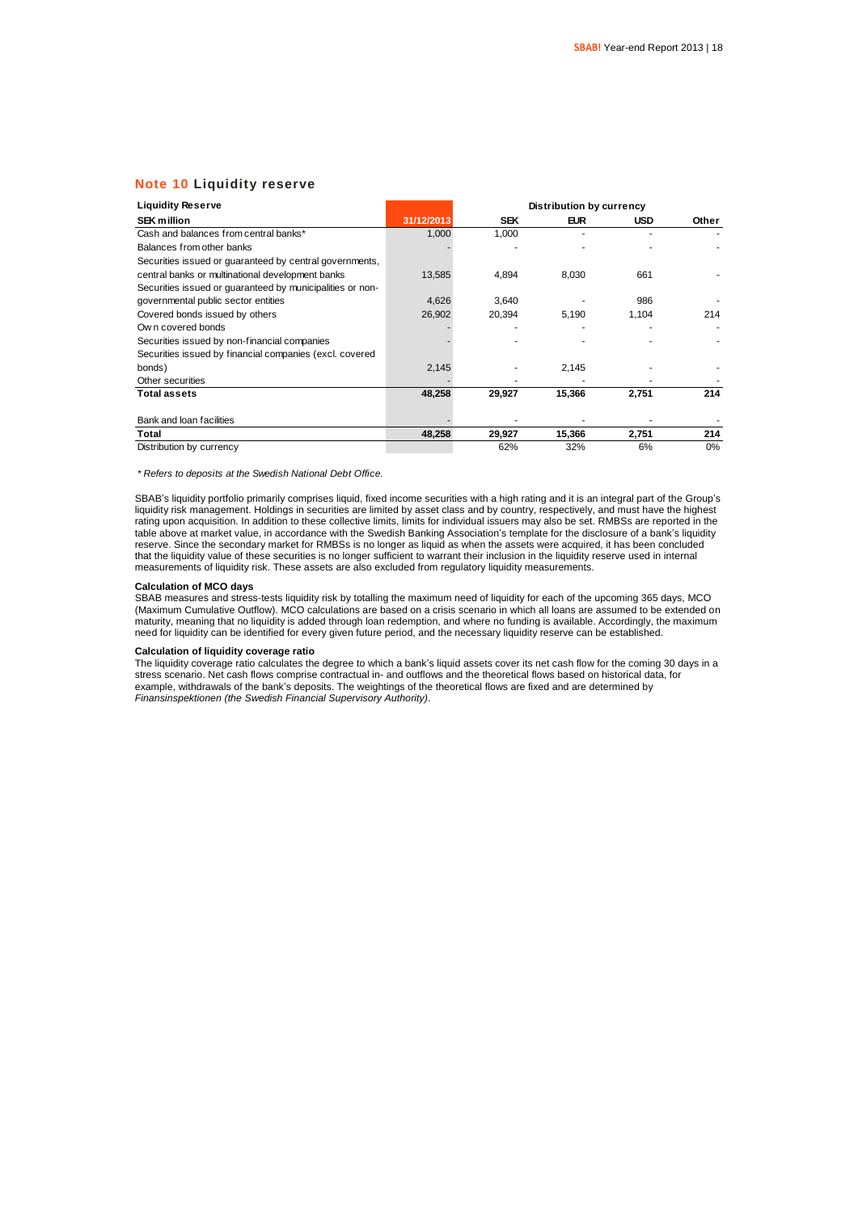### **Note 10 Liquidity reserve**

| <b>Liquidity Reserve</b>                                  |            | <b>Distribution by currency</b> |            |            |       |  |  |  |  |
|-----------------------------------------------------------|------------|---------------------------------|------------|------------|-------|--|--|--|--|
| <b>SEK million</b>                                        | 31/12/2013 | <b>SEK</b>                      | <b>EUR</b> | <b>USD</b> | Other |  |  |  |  |
| Cash and balances from central banks*                     | 1,000      | 1,000                           |            |            |       |  |  |  |  |
| Balances from other banks                                 |            |                                 |            |            |       |  |  |  |  |
| Securities issued or quaranteed by central governments,   |            |                                 |            |            |       |  |  |  |  |
| central banks or multinational development banks          | 13,585     | 4,894                           | 8,030      | 661        |       |  |  |  |  |
| Securities issued or guaranteed by municipalities or non- |            |                                 |            |            |       |  |  |  |  |
| governmental public sector entities                       | 4,626      | 3,640                           |            | 986        |       |  |  |  |  |
| Covered bonds issued by others                            | 26,902     | 20,394                          | 5,190      | 1,104      | 214   |  |  |  |  |
| Own covered bonds                                         |            |                                 |            |            |       |  |  |  |  |
| Securities issued by non-financial companies              |            |                                 |            |            |       |  |  |  |  |
| Securities issued by financial companies (excl. covered   |            |                                 |            |            |       |  |  |  |  |
| bonds)                                                    | 2,145      |                                 | 2,145      |            |       |  |  |  |  |
| Other securities                                          |            |                                 |            |            |       |  |  |  |  |
| <b>Total assets</b>                                       | 48,258     | 29,927                          | 15,366     | 2,751      | 214   |  |  |  |  |
| Bank and loan facilities                                  |            |                                 |            |            |       |  |  |  |  |
| Total                                                     | 48,258     | 29,927                          | 15,366     | 2,751      | 214   |  |  |  |  |
| Distribution by currency                                  |            | 62%                             | 32%        | 6%         | 0%    |  |  |  |  |

*\* Refers to deposits at the Swedish National Debt Office.*

SBAB's liquidity portfolio primarily comprises liquid, fixed income securities with a high rating and it is an integral part of the Group's liquidity risk management. Holdings in securities are limited by asset class and by country, respectively, and must have the highest rating upon acquisition. In addition to these collective limits, limits for individual issuers may also be set. RMBSs are reported in the table above at market value, in accordance with the Swedish Banking Association's template for the disclosure of a bank's liquidity reserve. Since the secondary market for RMBSs is no longer as liquid as when the assets were acquired, it has been concluded that the liquidity value of these securities is no longer sufficient to warrant their inclusion in the liquidity reserve used in internal measurements of liquidity risk. These assets are also excluded from regulatory liquidity measurements.

#### **Calculation of MCO days**

SBAB measures and stress-tests liquidity risk by totalling the maximum need of liquidity for each of the upcoming 365 days, MCO (Maximum Cumulative Outflow). MCO calculations are based on a crisis scenario in which all loans are assumed to be extended on maturity, meaning that no liquidity is added through loan redemption, and where no funding is available. Accordingly, the maximum need for liquidity can be identified for every given future period, and the necessary liquidity reserve can be established.

#### **Calculation of liquidity coverage ratio**

The liquidity coverage ratio calculates the degree to which a bank's liquid assets cover its net cash flow for the coming 30 days in a stress scenario. Net cash flows comprise contractual in- and outflows and the theoretical flows based on historical data, for example, withdrawals of the bank's deposits. The weightings of the theoretical flows are fixed and are determined by *Finansinspektionen (the Swedish Financial Supervisory Authority)*.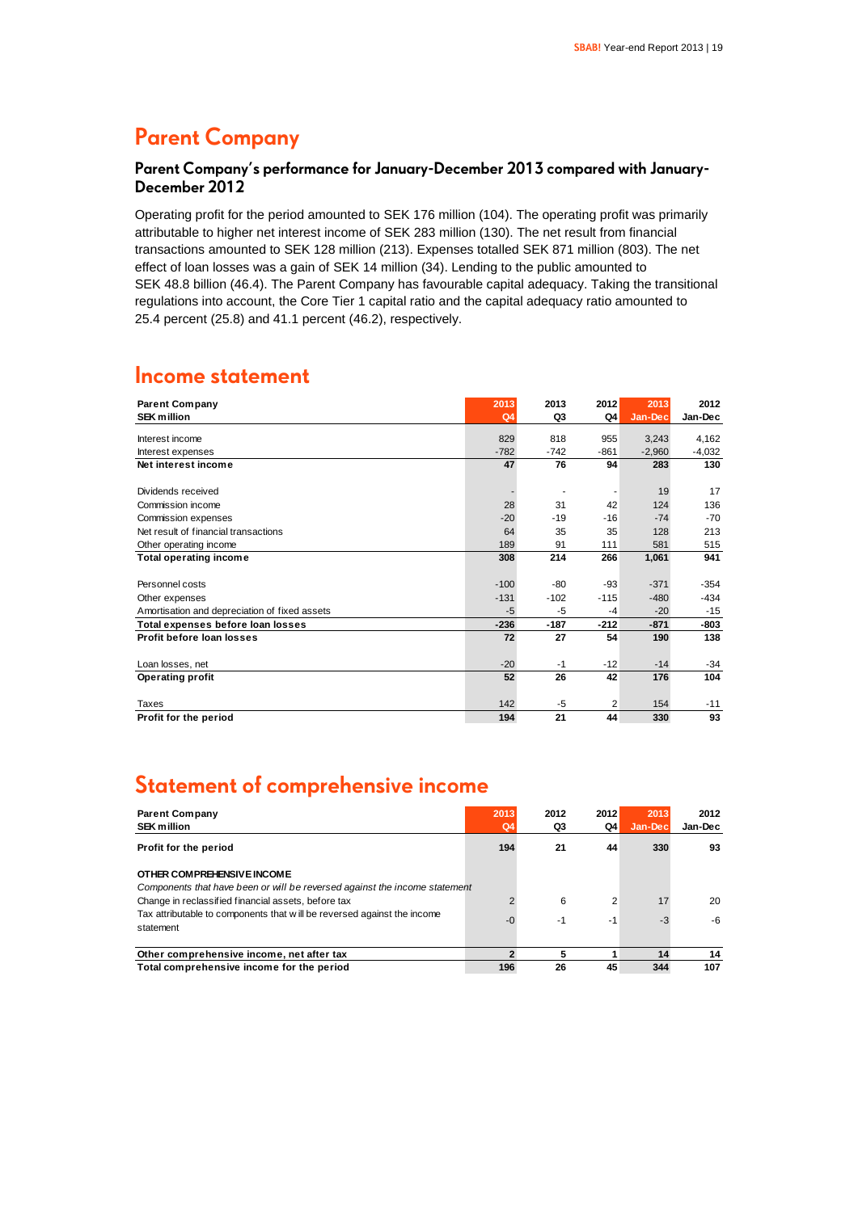### **Parent Company**

### **Parent Company's performance for January-December 2013 compared with January-December 2012**

Operating profit for the period amounted to SEK 176 million (104). The operating profit was primarily attributable to higher net interest income of SEK 283 million (130). The net result from financial transactions amounted to SEK 128 million (213). Expenses totalled SEK 871 million (803). The net effect of loan losses was a gain of SEK 14 million (34). Lending to the public amounted to SEK 48.8 billion (46.4). The Parent Company has favourable capital adequacy. Taking the transitional regulations into account, the Core Tier 1 capital ratio and the capital adequacy ratio amounted to 25.4 percent (25.8) and 41.1 percent (46.2), respectively.

### **Income statement**

| <b>Parent Company</b>                         | 2013   | 2013   | 2012   | 2013     | 2012     |
|-----------------------------------------------|--------|--------|--------|----------|----------|
| <b>SEK million</b>                            | Q4     | Q3     | Q4     | Jan-Dec  | Jan-Dec  |
| Interest income                               | 829    | 818    | 955    | 3,243    | 4,162    |
| Interest expenses                             | $-782$ | $-742$ | $-861$ | $-2,960$ | $-4,032$ |
| Net interest income                           | 47     | 76     | 94     | 283      | 130      |
|                                               |        |        |        |          |          |
| Dividends received                            |        |        |        | 19       | 17       |
| Commission income                             | 28     | 31     | 42     | 124      | 136      |
| Commission expenses                           | $-20$  | $-19$  | $-16$  | $-74$    | $-70$    |
| Net result of financial transactions          | 64     | 35     | 35     | 128      | 213      |
| Other operating income                        | 189    | 91     | 111    | 581      | 515      |
| <b>Total operating income</b>                 | 308    | 214    | 266    | 1,061    | 941      |
|                                               |        |        |        |          |          |
| Personnel costs                               | $-100$ | $-80$  | $-93$  | $-371$   | $-354$   |
| Other expenses                                | $-131$ | $-102$ | $-115$ | $-480$   | $-434$   |
| Amortisation and depreciation of fixed assets | -5     | $-5$   | $-4$   | $-20$    | $-15$    |
| Total expenses before loan losses             | $-236$ | $-187$ | $-212$ | $-871$   | -803     |
| Profit before loan losses                     | 72     | 27     | 54     | 190      | 138      |
|                                               |        |        |        |          |          |
| Loan losses, net                              | $-20$  | $-1$   | $-12$  | $-14$    | $-34$    |
| <b>Operating profit</b>                       | 52     | 26     | 42     | 176      | 104      |
|                                               |        |        |        |          |          |
| Taxes                                         | 142    | $-5$   | 2      | 154      | $-11$    |
| Profit for the period                         | 194    | 21     | 44     | 330      | 93       |

### **Statement of comprehensive income**

| <b>Parent Company</b><br><b>SEK million</b>                                                              | 2013<br>Q4 | 2012<br>Q3 | 2012<br>Q4     | 2013<br>Jan-Dec | 2012<br>Jan-Dec |
|----------------------------------------------------------------------------------------------------------|------------|------------|----------------|-----------------|-----------------|
| Profit for the period                                                                                    | 194        | 21         | 44             | 330             | 93              |
| OTHER COMPREHENSIVE INCOME<br>Components that have been or will be reversed against the income statement |            |            |                |                 |                 |
| Change in reclassified financial assets, before tax                                                      |            | 6          | $\overline{2}$ | 17              | 20              |
| Tax attributable to components that will be reversed against the income<br>statement                     | $-0$       | -1         | -1             | -3              | -6              |
| Other comprehensive income, net after tax                                                                |            | 5          |                | 14              | 14              |
| Total comprehensive income for the period                                                                | 196        | 26         | 45             | 344             | 107             |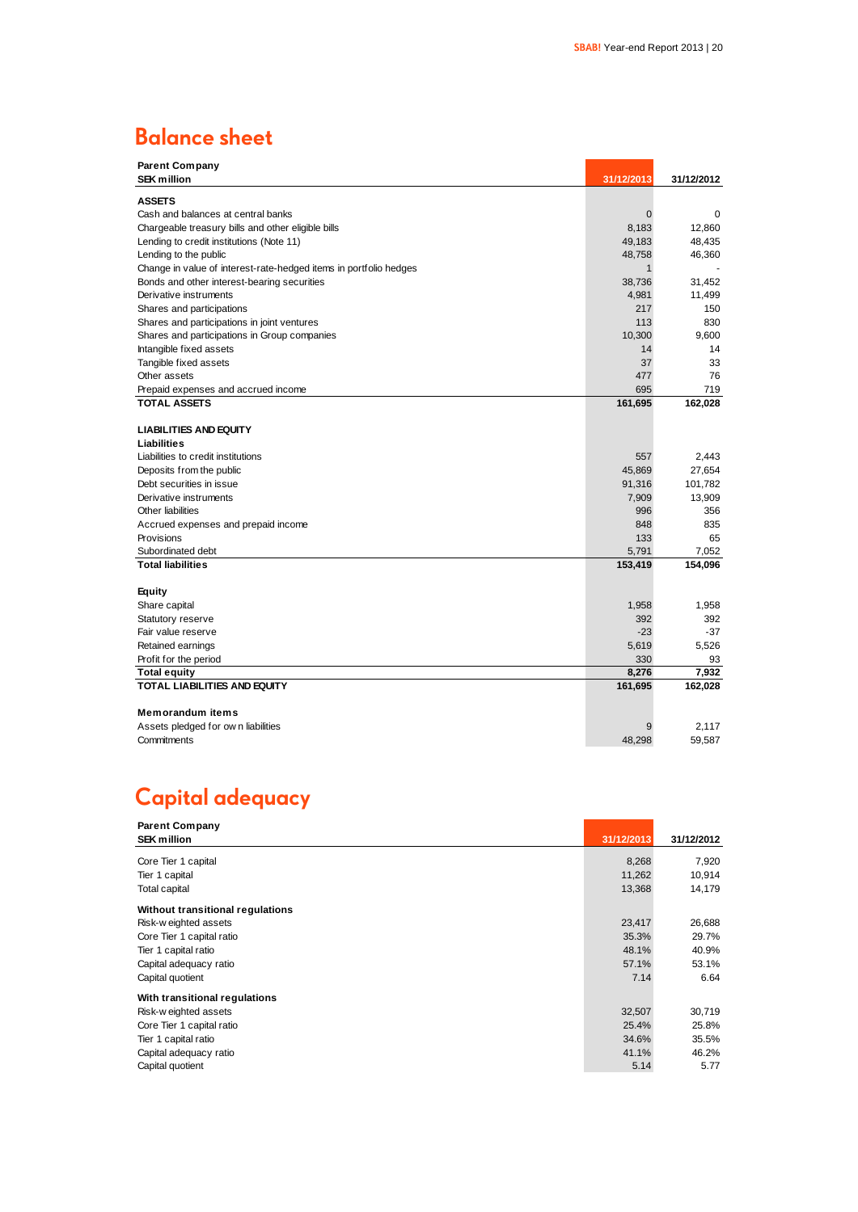### **Balance sheet**

| <b>Parent Company</b>                                             |              |            |
|-------------------------------------------------------------------|--------------|------------|
| <b>SEK million</b>                                                | 31/12/2013   | 31/12/2012 |
| <b>ASSETS</b>                                                     |              |            |
| Cash and balances at central banks                                | $\mathbf{0}$ | 0          |
| Chargeable treasury bills and other eligible bills                | 8,183        | 12.860     |
| Lending to credit institutions (Note 11)                          | 49,183       | 48,435     |
| Lending to the public                                             | 48,758       | 46,360     |
| Change in value of interest-rate-hedged items in portfolio hedges | 1            |            |
| Bonds and other interest-bearing securities                       | 38,736       | 31,452     |
| Derivative instruments                                            | 4,981        | 11,499     |
| Shares and participations                                         | 217          | 150        |
| Shares and participations in joint ventures                       | 113          | 830        |
| Shares and participations in Group companies                      | 10,300       | 9.600      |
| Intangible fixed assets                                           | 14           | 14         |
| Tangible fixed assets                                             | 37           | 33         |
| Other assets                                                      | 477          | 76         |
| Prepaid expenses and accrued income                               | 695          | 719        |
| <b>TOTAL ASSETS</b>                                               | 161,695      | 162,028    |
|                                                                   |              |            |
| <b>LIABILITIES AND EQUITY</b>                                     |              |            |
| Liabilities                                                       |              |            |
| Liabilities to credit institutions                                | 557          | 2,443      |
| Deposits from the public                                          | 45,869       | 27,654     |
| Debt securities in issue                                          | 91,316       | 101,782    |
| Derivative instruments                                            | 7,909        | 13,909     |
| Other liabilities                                                 | 996          | 356        |
| Accrued expenses and prepaid income                               | 848          | 835        |
| Provisions                                                        | 133          | 65         |
| Subordinated debt                                                 | 5,791        | 7,052      |
| <b>Total liabilities</b>                                          | 153,419      | 154,096    |
|                                                                   |              |            |
| Equity                                                            |              |            |
| Share capital                                                     | 1,958        | 1,958      |
| Statutory reserve                                                 | 392          | 392        |
| Fair value reserve                                                | $-23$        | $-37$      |
| Retained earnings                                                 | 5,619        | 5,526      |
| Profit for the period                                             | 330          | 93         |
| Total equity                                                      | 8,276        | 7.932      |
| TOTAL LIABILITIES AND EQUITY                                      | 161,695      | 162,028    |
|                                                                   |              |            |
| <b>Memorandum items</b>                                           |              |            |
| Assets pledged for own liabilities                                | 9            | 2.117      |
| Commitments                                                       | 48,298       | 59,587     |

### **Capital adequacy**

| <b>Parent Company</b>            |            |            |
|----------------------------------|------------|------------|
| <b>SEK million</b>               | 31/12/2013 | 31/12/2012 |
|                                  |            |            |
| Core Tier 1 capital              | 8,268      | 7,920      |
| Tier 1 capital                   | 11,262     | 10,914     |
| <b>Total capital</b>             | 13,368     | 14,179     |
| Without transitional regulations |            |            |
| Risk-w eighted assets            | 23,417     | 26,688     |
| Core Tier 1 capital ratio        | 35.3%      | 29.7%      |
| Tier 1 capital ratio             | 48.1%      | 40.9%      |
| Capital adequacy ratio           | 57.1%      | 53.1%      |
| Capital quotient                 | 7.14       | 6.64       |
| With transitional regulations    |            |            |
| Risk-w eighted assets            | 32,507     | 30,719     |
| Core Tier 1 capital ratio        | 25.4%      | 25.8%      |
| Tier 1 capital ratio             | 34.6%      | 35.5%      |
| Capital adequacy ratio           | 41.1%      | 46.2%      |
| Capital quotient                 | 5.14       | 5.77       |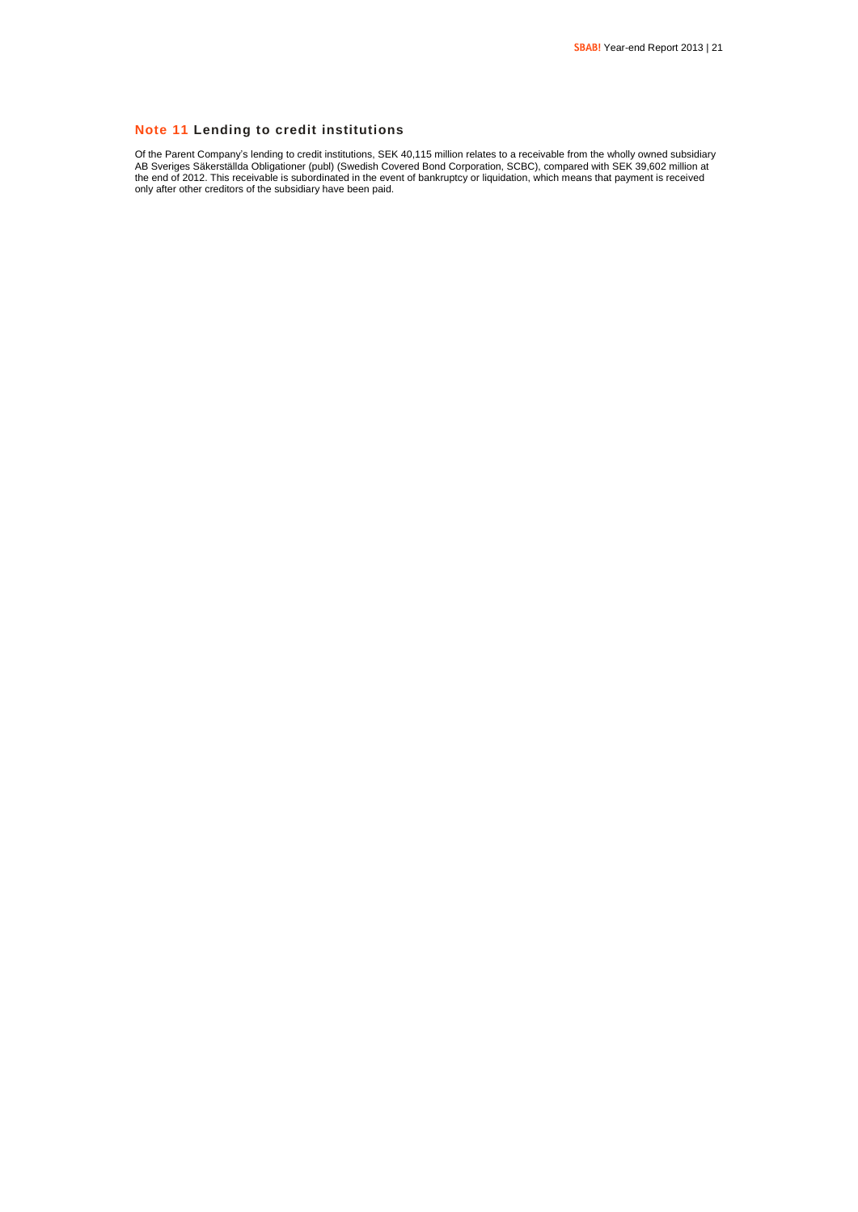### **Note 11 Lending to credit institutions**

Of the Parent Company's lending to credit institutions, SEK 40,115 million relates to a receivable from the wholly owned subsidiary AB Sveriges Säkerställda Obligationer (publ) (Swedish Covered Bond Corporation, SCBC), compared with SEK 39,602 million at the end of 2012. This receivable is subordinated in the event of bankruptcy or liquidation, which means that payment is received only after other creditors of the subsidiary have been paid.